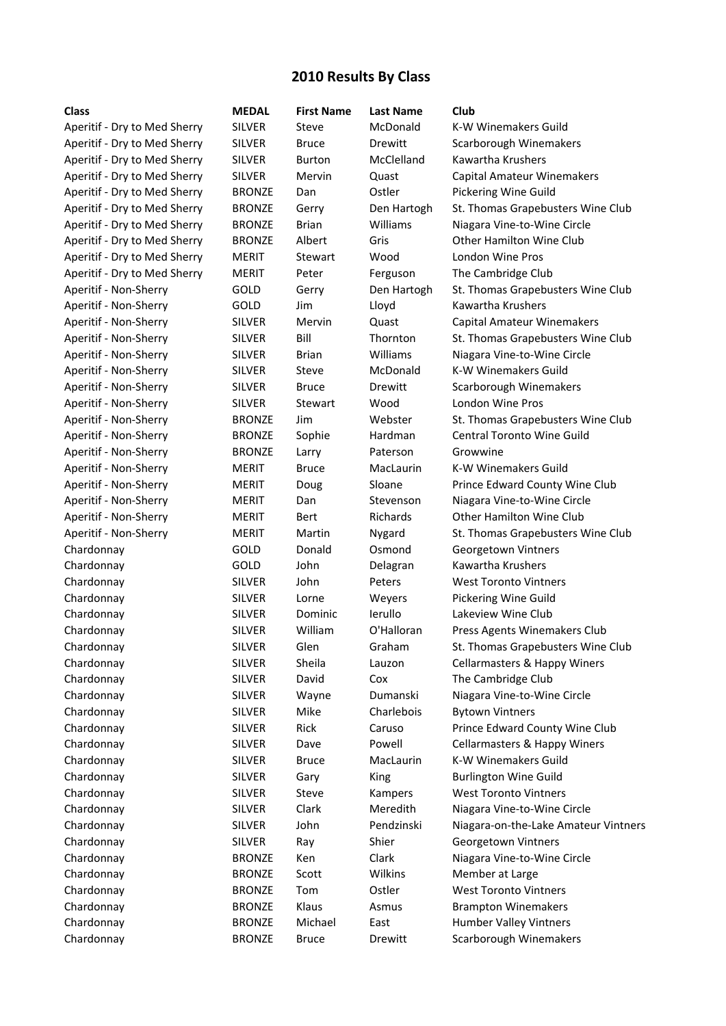## **2010 Results By Class**

| <b>Class</b>                 | <b>MEDAL</b>  | <b>First Name</b> | <b>Last Name</b> | Club                                 |
|------------------------------|---------------|-------------------|------------------|--------------------------------------|
| Aperitif - Dry to Med Sherry | <b>SILVER</b> | Steve             | McDonald         | K-W Winemakers Guild                 |
| Aperitif - Dry to Med Sherry | <b>SILVER</b> | <b>Bruce</b>      | Drewitt          | Scarborough Winemakers               |
| Aperitif - Dry to Med Sherry | <b>SILVER</b> | <b>Burton</b>     | McClelland       | Kawartha Krushers                    |
| Aperitif - Dry to Med Sherry | <b>SILVER</b> | Mervin            | Quast            | <b>Capital Amateur Winemakers</b>    |
| Aperitif - Dry to Med Sherry | <b>BRONZE</b> | Dan               | Ostler           | Pickering Wine Guild                 |
| Aperitif - Dry to Med Sherry | <b>BRONZE</b> | Gerry             | Den Hartogh      | St. Thomas Grapebusters Wine Club    |
| Aperitif - Dry to Med Sherry | <b>BRONZE</b> | <b>Brian</b>      | Williams         | Niagara Vine-to-Wine Circle          |
| Aperitif - Dry to Med Sherry | <b>BRONZE</b> | Albert            | Gris             | <b>Other Hamilton Wine Club</b>      |
| Aperitif - Dry to Med Sherry | <b>MERIT</b>  | Stewart           | Wood             | London Wine Pros                     |
| Aperitif - Dry to Med Sherry | <b>MERIT</b>  | Peter             | Ferguson         | The Cambridge Club                   |
| Aperitif - Non-Sherry        | GOLD          | Gerry             | Den Hartogh      | St. Thomas Grapebusters Wine Club    |
| Aperitif - Non-Sherry        | GOLD          | Jim               | Lloyd            | Kawartha Krushers                    |
| Aperitif - Non-Sherry        | <b>SILVER</b> | Mervin            | Quast            | <b>Capital Amateur Winemakers</b>    |
| Aperitif - Non-Sherry        | <b>SILVER</b> | Bill              | Thornton         | St. Thomas Grapebusters Wine Club    |
| Aperitif - Non-Sherry        | <b>SILVER</b> | <b>Brian</b>      | Williams         | Niagara Vine-to-Wine Circle          |
| Aperitif - Non-Sherry        | <b>SILVER</b> | Steve             | McDonald         | K-W Winemakers Guild                 |
| Aperitif - Non-Sherry        | <b>SILVER</b> | <b>Bruce</b>      | Drewitt          | Scarborough Winemakers               |
| Aperitif - Non-Sherry        | <b>SILVER</b> | Stewart           | Wood             | London Wine Pros                     |
| Aperitif - Non-Sherry        | <b>BRONZE</b> | Jim               | Webster          | St. Thomas Grapebusters Wine Club    |
| Aperitif - Non-Sherry        | <b>BRONZE</b> | Sophie            | Hardman          | <b>Central Toronto Wine Guild</b>    |
| Aperitif - Non-Sherry        | <b>BRONZE</b> | Larry             | Paterson         | Growwine                             |
| Aperitif - Non-Sherry        | <b>MERIT</b>  | <b>Bruce</b>      | MacLaurin        | <b>K-W Winemakers Guild</b>          |
| Aperitif - Non-Sherry        | MERIT         | Doug              | Sloane           | Prince Edward County Wine Club       |
| Aperitif - Non-Sherry        | <b>MERIT</b>  | Dan               | Stevenson        | Niagara Vine-to-Wine Circle          |
| Aperitif - Non-Sherry        | <b>MERIT</b>  | Bert              | Richards         | Other Hamilton Wine Club             |
| Aperitif - Non-Sherry        | <b>MERIT</b>  | Martin            | Nygard           | St. Thomas Grapebusters Wine Club    |
| Chardonnay                   | GOLD          | Donald            | Osmond           | Georgetown Vintners                  |
| Chardonnay                   | GOLD          | John              | Delagran         | Kawartha Krushers                    |
| Chardonnay                   | <b>SILVER</b> | John              | Peters           | <b>West Toronto Vintners</b>         |
| Chardonnay                   | <b>SILVER</b> | Lorne             | Weyers           | <b>Pickering Wine Guild</b>          |
| Chardonnay                   | <b>SILVER</b> | Dominic           | lerullo          | Lakeview Wine Club                   |
| Chardonnay                   | <b>SILVER</b> | William           | O'Halloran       | Press Agents Winemakers Club         |
| Chardonnay                   | <b>SILVER</b> | Glen              | Graham           | St. Thomas Grapebusters Wine Club    |
| Chardonnay                   | <b>SILVER</b> | Sheila            | Lauzon           | Cellarmasters & Happy Winers         |
| Chardonnay                   | <b>SILVER</b> | David             | Cox              | The Cambridge Club                   |
| Chardonnay                   | <b>SILVER</b> | Wayne             | Dumanski         | Niagara Vine-to-Wine Circle          |
| Chardonnay                   | <b>SILVER</b> | Mike              | Charlebois       | <b>Bytown Vintners</b>               |
| Chardonnay                   | <b>SILVER</b> | Rick              | Caruso           | Prince Edward County Wine Club       |
| Chardonnay                   | <b>SILVER</b> | Dave              | Powell           | Cellarmasters & Happy Winers         |
| Chardonnay                   | <b>SILVER</b> | <b>Bruce</b>      | MacLaurin        | K-W Winemakers Guild                 |
| Chardonnay                   | <b>SILVER</b> | Gary              | King             | <b>Burlington Wine Guild</b>         |
| Chardonnay                   | <b>SILVER</b> | Steve             | Kampers          | <b>West Toronto Vintners</b>         |
| Chardonnay                   | <b>SILVER</b> | Clark             | Meredith         | Niagara Vine-to-Wine Circle          |
| Chardonnay                   | <b>SILVER</b> | John              | Pendzinski       | Niagara-on-the-Lake Amateur Vintners |
| Chardonnay                   | <b>SILVER</b> | Ray               | Shier            | Georgetown Vintners                  |
| Chardonnay                   | <b>BRONZE</b> | Ken               | Clark            | Niagara Vine-to-Wine Circle          |
| Chardonnay                   | <b>BRONZE</b> | Scott             | Wilkins          | Member at Large                      |
| Chardonnay                   | <b>BRONZE</b> | Tom               | Ostler           | <b>West Toronto Vintners</b>         |
| Chardonnay                   | <b>BRONZE</b> | Klaus             | Asmus            | <b>Brampton Winemakers</b>           |
| Chardonnay                   | <b>BRONZE</b> | Michael           | East             | Humber Valley Vintners               |
| Chardonnay                   | <b>BRONZE</b> | <b>Bruce</b>      | Drewitt          | Scarborough Winemakers               |
|                              |               |                   |                  |                                      |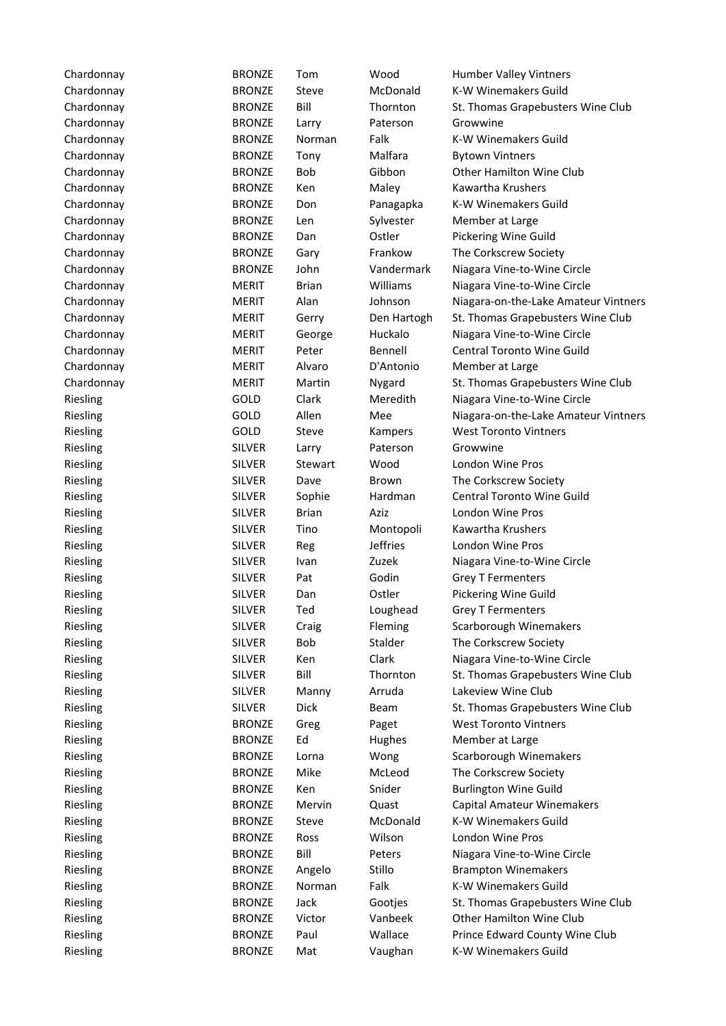| Chardonnay           | <b>BRONZE</b>           | Tom          | Wood               | Humber Valley Vintners                          |
|----------------------|-------------------------|--------------|--------------------|-------------------------------------------------|
| Chardonnay           | <b>BRONZE</b>           | Steve        | McDonald           | K-W Winemakers Guild                            |
| Chardonnay           | <b>BRONZE</b>           | Bill         | Thornton           | St. Thomas Grapebusters Wine Club               |
| Chardonnay           | <b>BRONZE</b>           | Larry        | Paterson           | Growwine                                        |
| Chardonnay           | <b>BRONZE</b>           | Norman       | Falk               | K-W Winemakers Guild                            |
| Chardonnay           | <b>BRONZE</b>           | Tony         | Malfara            | <b>Bytown Vintners</b>                          |
| Chardonnay           | <b>BRONZE</b>           | Bob          | Gibbon             | <b>Other Hamilton Wine Club</b>                 |
| Chardonnay           | <b>BRONZE</b>           | Ken          | Maley              | Kawartha Krushers                               |
| Chardonnay           | <b>BRONZE</b>           | Don          | Panagapka          | K-W Winemakers Guild                            |
| Chardonnay           | <b>BRONZE</b>           | Len          | Sylvester          | Member at Large                                 |
| Chardonnay           | <b>BRONZE</b>           | Dan          | Ostler             | Pickering Wine Guild                            |
| Chardonnay           | <b>BRONZE</b>           | Gary         | Frankow            | The Corkscrew Society                           |
| Chardonnay           | <b>BRONZE</b>           | John         | Vandermark         | Niagara Vine-to-Wine Circle                     |
| Chardonnay           | <b>MERIT</b>            | <b>Brian</b> | Williams           | Niagara Vine-to-Wine Circle                     |
| Chardonnay           | <b>MERIT</b>            | Alan         | Johnson            | Niagara-on-the-Lake Amateur Vintners            |
| Chardonnay           | <b>MERIT</b>            | Gerry        | Den Hartogh        | St. Thomas Grapebusters Wine Club               |
| Chardonnay           | <b>MERIT</b>            | George       | Huckalo            | Niagara Vine-to-Wine Circle                     |
| Chardonnay           | <b>MERIT</b>            | Peter        | Bennell            | <b>Central Toronto Wine Guild</b>               |
| Chardonnay           | <b>MERIT</b>            | Alvaro       | D'Antonio          | Member at Large                                 |
| Chardonnay           | <b>MERIT</b>            | Martin       | Nygard             | St. Thomas Grapebusters Wine Club               |
| Riesling             | GOLD                    | Clark        | Meredith           | Niagara Vine-to-Wine Circle                     |
| Riesling             | GOLD                    | Allen        | Mee                | Niagara-on-the-Lake Amateur Vintners            |
| Riesling             | GOLD                    | Steve        | Kampers            | <b>West Toronto Vintners</b>                    |
| Riesling             | <b>SILVER</b>           | Larry        | Paterson           | Growwine                                        |
| Riesling             | <b>SILVER</b>           | Stewart      | Wood               | London Wine Pros                                |
| Riesling             | <b>SILVER</b>           | Dave         | Brown              | The Corkscrew Society                           |
| Riesling             | <b>SILVER</b>           | Sophie       | Hardman            | Central Toronto Wine Guild                      |
| Riesling             | <b>SILVER</b>           | <b>Brian</b> | Aziz               | London Wine Pros                                |
| Riesling             | <b>SILVER</b>           | Tino         | Montopoli          | Kawartha Krushers                               |
| Riesling             | <b>SILVER</b>           | Reg          | <b>Jeffries</b>    | London Wine Pros                                |
| Riesling             | <b>SILVER</b>           | Ivan         | Zuzek              | Niagara Vine-to-Wine Circle                     |
| Riesling             | <b>SILVER</b>           | Pat          | Godin              | <b>Grey T Fermenters</b>                        |
| Riesling             | <b>SILVER</b>           | Dan          | Ostler             | Pickering Wine Guild                            |
| Riesling             | <b>SILVER</b>           | Ted          | Loughead           | <b>Grey T Fermenters</b>                        |
|                      |                         |              |                    |                                                 |
| Riesling<br>Riesling | <b>SILVER</b><br>SILVER | Craig<br>Bob | Fleming<br>Stalder | Scarborough Winemakers<br>The Corkscrew Society |
|                      |                         |              |                    |                                                 |
| Riesling             | <b>SILVER</b>           | Ken<br>Bill  | Clark              | Niagara Vine-to-Wine Circle                     |
| Riesling             | <b>SILVER</b>           |              | Thornton           | St. Thomas Grapebusters Wine Club               |
| Riesling             | <b>SILVER</b>           | Manny        | Arruda             | Lakeview Wine Club                              |
| Riesling             | <b>SILVER</b>           | Dick         | Beam               | St. Thomas Grapebusters Wine Club               |
| Riesling             | <b>BRONZE</b>           | Greg         | Paget              | <b>West Toronto Vintners</b>                    |
| Riesling             | <b>BRONZE</b>           | Ed           | Hughes             | Member at Large                                 |
| Riesling             | <b>BRONZE</b>           | Lorna        | Wong               | Scarborough Winemakers                          |
| Riesling             | <b>BRONZE</b>           | Mike         | McLeod             | The Corkscrew Society                           |
| Riesling             | <b>BRONZE</b>           | Ken          | Snider             | <b>Burlington Wine Guild</b>                    |
| Riesling             | <b>BRONZE</b>           | Mervin       | Quast              | <b>Capital Amateur Winemakers</b>               |
| Riesling             | <b>BRONZE</b>           | Steve        | McDonald           | K-W Winemakers Guild                            |
| Riesling             | <b>BRONZE</b>           | Ross         | Wilson             | London Wine Pros                                |
| Riesling             | <b>BRONZE</b>           | Bill         | Peters             | Niagara Vine-to-Wine Circle                     |
| Riesling             | <b>BRONZE</b>           | Angelo       | Stillo             | <b>Brampton Winemakers</b>                      |
| Riesling             | <b>BRONZE</b>           | Norman       | Falk               | K-W Winemakers Guild                            |
| Riesling             | <b>BRONZE</b>           | Jack         | Gootjes            | St. Thomas Grapebusters Wine Club               |
| Riesling             | <b>BRONZE</b>           | Victor       | Vanbeek            | <b>Other Hamilton Wine Club</b>                 |
| Riesling             | <b>BRONZE</b>           | Paul         | Wallace            | Prince Edward County Wine Club                  |
| Riesling             | <b>BRONZE</b>           | Mat          | Vaughan            | K-W Winemakers Guild                            |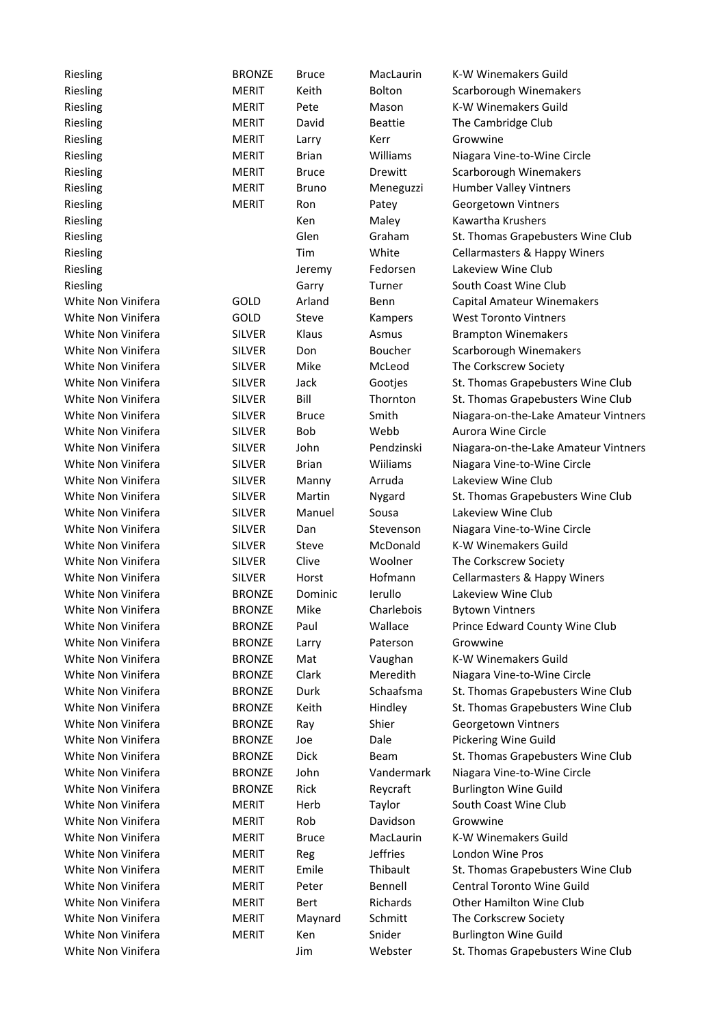| Riesling           | <b>BRONZE</b>                  | <b>Bruce</b>    | MacLaurin             | <b>K-W Winemakers Guild</b>                         |
|--------------------|--------------------------------|-----------------|-----------------------|-----------------------------------------------------|
| Riesling           | <b>MERIT</b>                   | Keith           | <b>Bolton</b>         | Scarborough Winemakers                              |
| Riesling           | <b>MERIT</b>                   | Pete            | Mason                 | K-W Winemakers Guild                                |
| Riesling           | <b>MERIT</b>                   | David           | <b>Beattie</b>        | The Cambridge Club                                  |
| Riesling           | <b>MERIT</b>                   | Larry           | Kerr                  | Growwine                                            |
| Riesling           | <b>MERIT</b>                   | <b>Brian</b>    | Williams              | Niagara Vine-to-Wine Circle                         |
| Riesling           | <b>MERIT</b>                   | <b>Bruce</b>    | Drewitt               | Scarborough Winemakers                              |
| Riesling           | <b>MERIT</b>                   | <b>Bruno</b>    | Meneguzzi             | <b>Humber Valley Vintners</b>                       |
| Riesling           | <b>MERIT</b>                   | Ron             | Patey                 | Georgetown Vintners                                 |
| Riesling           |                                | Ken             | Maley                 | Kawartha Krushers                                   |
| Riesling           |                                | Glen            | Graham                | St. Thomas Grapebusters Wine Club                   |
| Riesling           |                                | Tim             | White                 | Cellarmasters & Happy Winers                        |
| Riesling           |                                | Jeremy          | Fedorsen              | Lakeview Wine Club                                  |
| Riesling           |                                | Garry           | Turner                | South Coast Wine Club                               |
| White Non Vinifera | GOLD                           | Arland          | Benn                  | Capital Amateur Winemakers                          |
| White Non Vinifera | GOLD                           | Steve           | Kampers               | <b>West Toronto Vintners</b>                        |
| White Non Vinifera | <b>SILVER</b>                  | Klaus           | Asmus                 | <b>Brampton Winemakers</b>                          |
| White Non Vinifera | <b>SILVER</b>                  | Don             | Boucher               | Scarborough Winemakers                              |
| White Non Vinifera | <b>SILVER</b>                  | Mike            | McLeod                | The Corkscrew Society                               |
| White Non Vinifera | <b>SILVER</b>                  | Jack            | Gootjes               | St. Thomas Grapebusters Wine Club                   |
| White Non Vinifera | <b>SILVER</b>                  | Bill            | Thornton              | St. Thomas Grapebusters Wine Club                   |
| White Non Vinifera | <b>SILVER</b>                  | <b>Bruce</b>    | Smith                 | Niagara-on-the-Lake Amateur Vintners                |
| White Non Vinifera | <b>SILVER</b>                  | Bob             | Webb                  | Aurora Wine Circle                                  |
| White Non Vinifera | <b>SILVER</b>                  | John            | Pendzinski            | Niagara-on-the-Lake Amateur Vintners                |
| White Non Vinifera | <b>SILVER</b>                  | <b>Brian</b>    | Wiiliams              | Niagara Vine-to-Wine Circle                         |
| White Non Vinifera | <b>SILVER</b>                  |                 | Arruda                | Lakeview Wine Club                                  |
| White Non Vinifera | <b>SILVER</b>                  | Manny<br>Martin |                       |                                                     |
|                    |                                |                 | Nygard                | St. Thomas Grapebusters Wine Club                   |
| White Non Vinifera | <b>SILVER</b>                  | Manuel          | Sousa                 | Lakeview Wine Club                                  |
| White Non Vinifera | <b>SILVER</b><br><b>SILVER</b> | Dan             | Stevenson<br>McDonald | Niagara Vine-to-Wine Circle<br>K-W Winemakers Guild |
| White Non Vinifera |                                | Steve           |                       |                                                     |
| White Non Vinifera | <b>SILVER</b>                  | Clive           | Woolner               | The Corkscrew Society                               |
| White Non Vinifera | <b>SILVER</b>                  | Horst           | Hofmann               | Cellarmasters & Happy Winers                        |
| White Non Vinifera | <b>BRONZE</b>                  | Dominic         | lerullo               | Lakeview Wine Club                                  |
| White Non Vinifera | <b>BRONZE</b>                  | Mike            | Charlebois            | <b>Bytown Vintners</b>                              |
| White Non Vinifera | <b>BRONZE</b>                  | Paul            | Wallace               | Prince Edward County Wine Club                      |
| White Non Vinifera | <b>BRONZE</b>                  | Larry           | Paterson              | Growwine                                            |
| White Non Vinifera | <b>BRONZE</b>                  | Mat             | Vaughan               | K-W Winemakers Guild                                |
| White Non Vinifera | <b>BRONZE</b>                  | Clark           | Meredith              | Niagara Vine-to-Wine Circle                         |
| White Non Vinifera | <b>BRONZE</b>                  | Durk            | Schaafsma             | St. Thomas Grapebusters Wine Club                   |
| White Non Vinifera | <b>BRONZE</b>                  | Keith           | Hindley               | St. Thomas Grapebusters Wine Club                   |
| White Non Vinifera | <b>BRONZE</b>                  | Ray             | Shier                 | Georgetown Vintners                                 |
| White Non Vinifera | <b>BRONZE</b>                  | Joe             | Dale                  | <b>Pickering Wine Guild</b>                         |
| White Non Vinifera | <b>BRONZE</b>                  | Dick            | Beam                  | St. Thomas Grapebusters Wine Club                   |
| White Non Vinifera | <b>BRONZE</b>                  | John            | Vandermark            | Niagara Vine-to-Wine Circle                         |
| White Non Vinifera | <b>BRONZE</b>                  | Rick            | Reycraft              | <b>Burlington Wine Guild</b>                        |
| White Non Vinifera | <b>MERIT</b>                   | Herb            | Taylor                | South Coast Wine Club                               |
| White Non Vinifera | <b>MERIT</b>                   | Rob             | Davidson              | Growwine                                            |
| White Non Vinifera | <b>MERIT</b>                   | <b>Bruce</b>    | MacLaurin             | K-W Winemakers Guild                                |
| White Non Vinifera | <b>MERIT</b>                   | Reg             | <b>Jeffries</b>       | London Wine Pros                                    |
| White Non Vinifera | <b>MERIT</b>                   | Emile           | Thibault              | St. Thomas Grapebusters Wine Club                   |
| White Non Vinifera | <b>MERIT</b>                   | Peter           | Bennell               | Central Toronto Wine Guild                          |
| White Non Vinifera | <b>MERIT</b>                   | Bert            | Richards              | <b>Other Hamilton Wine Club</b>                     |
| White Non Vinifera | MERIT                          | Maynard         | Schmitt               | The Corkscrew Society                               |
| White Non Vinifera | <b>MERIT</b>                   | Ken             | Snider                | <b>Burlington Wine Guild</b>                        |
| White Non Vinifera |                                | Jim             | Webster               | St. Thomas Grapebusters Wine Club                   |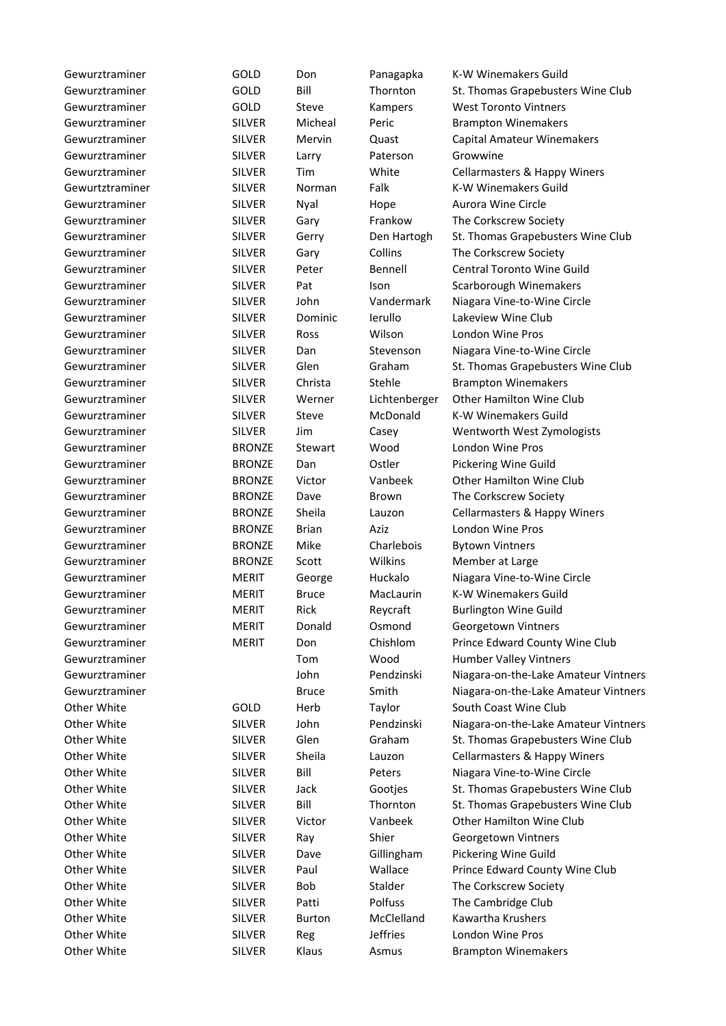| Gewurztraminer  | GOLD          | Don           | Panagapka           | K-W Winemakers Guild                                          |
|-----------------|---------------|---------------|---------------------|---------------------------------------------------------------|
| Gewurztraminer  | GOLD          | Bill          | Thornton            | St. Thomas Grapebusters Wine Club                             |
| Gewurztraminer  | GOLD          | Steve         | Kampers             | <b>West Toronto Vintners</b>                                  |
| Gewurztraminer  | <b>SILVER</b> | Micheal       | Peric               | <b>Brampton Winemakers</b>                                    |
| Gewurztraminer  | <b>SILVER</b> | Mervin        | Quast               | <b>Capital Amateur Winemakers</b>                             |
| Gewurztraminer  | <b>SILVER</b> | Larry         | Paterson            | Growwine                                                      |
| Gewurztraminer  | <b>SILVER</b> | Tim           | White               | <b>Cellarmasters &amp; Happy Winers</b>                       |
| Gewurtztraminer | <b>SILVER</b> | Norman        | Falk                | K-W Winemakers Guild                                          |
| Gewurztraminer  | <b>SILVER</b> |               | Hope                | Aurora Wine Circle                                            |
| Gewurztraminer  | <b>SILVER</b> | Nyal          | Frankow             | The Corkscrew Society                                         |
| Gewurztraminer  | <b>SILVER</b> | Gary          | Den Hartogh         | St. Thomas Grapebusters Wine Club                             |
| Gewurztraminer  | <b>SILVER</b> | Gerry<br>Gary | Collins             | The Corkscrew Society                                         |
| Gewurztraminer  | <b>SILVER</b> | Peter         | Bennell             | Central Toronto Wine Guild                                    |
| Gewurztraminer  | <b>SILVER</b> | Pat           | <b>Ison</b>         | Scarborough Winemakers                                        |
| Gewurztraminer  | <b>SILVER</b> | John          | Vandermark          | Niagara Vine-to-Wine Circle                                   |
| Gewurztraminer  | <b>SILVER</b> | Dominic       | lerullo             | Lakeview Wine Club                                            |
| Gewurztraminer  | <b>SILVER</b> | Ross          | Wilson              | <b>London Wine Pros</b>                                       |
|                 |               |               |                     |                                                               |
| Gewurztraminer  | <b>SILVER</b> | Dan<br>Glen   | Stevenson<br>Graham | Niagara Vine-to-Wine Circle                                   |
| Gewurztraminer  | <b>SILVER</b> | Christa       |                     | St. Thomas Grapebusters Wine Club                             |
| Gewurztraminer  | <b>SILVER</b> |               | Stehle              | <b>Brampton Winemakers</b><br><b>Other Hamilton Wine Club</b> |
| Gewurztraminer  | <b>SILVER</b> | Werner        | Lichtenberger       |                                                               |
| Gewurztraminer  | <b>SILVER</b> | Steve         | McDonald            | K-W Winemakers Guild                                          |
| Gewurztraminer  | <b>SILVER</b> | Jim           | Casey               | Wentworth West Zymologists                                    |
| Gewurztraminer  | <b>BRONZE</b> | Stewart       | Wood                | London Wine Pros                                              |
| Gewurztraminer  | <b>BRONZE</b> | Dan           | Ostler              | Pickering Wine Guild                                          |
| Gewurztraminer  | <b>BRONZE</b> | Victor        | Vanbeek             | <b>Other Hamilton Wine Club</b>                               |
| Gewurztraminer  | <b>BRONZE</b> | Dave          | Brown               | The Corkscrew Society                                         |
| Gewurztraminer  | <b>BRONZE</b> | Sheila        | Lauzon              | <b>Cellarmasters &amp; Happy Winers</b>                       |
| Gewurztraminer  | <b>BRONZE</b> | <b>Brian</b>  | Aziz                | London Wine Pros                                              |
| Gewurztraminer  | <b>BRONZE</b> | Mike          | Charlebois          | <b>Bytown Vintners</b>                                        |
| Gewurztraminer  | <b>BRONZE</b> | Scott         | Wilkins             | Member at Large                                               |
| Gewurztraminer  | <b>MERIT</b>  | George        | Huckalo             | Niagara Vine-to-Wine Circle                                   |
| Gewurztraminer  | <b>MERIT</b>  | <b>Bruce</b>  | MacLaurin           | K-W Winemakers Guild                                          |
| Gewurztraminer  | <b>MERIT</b>  | Rick          | Reycraft            | <b>Burlington Wine Guild</b>                                  |
| Gewurztraminer  | <b>MERIT</b>  | Donald        | Osmond              | Georgetown Vintners                                           |
| Gewurztraminer  | <b>MERIT</b>  | Don           | Chishlom            | Prince Edward County Wine Club                                |
| Gewurztraminer  |               | Tom           | Wood                | Humber Valley Vintners                                        |
| Gewurztraminer  |               | John          | Pendzinski          | Niagara-on-the-Lake Amateur Vintners                          |
| Gewurztraminer  |               | <b>Bruce</b>  | Smith               | Niagara-on-the-Lake Amateur Vintners                          |
| Other White     | GOLD          | Herb          | Taylor              | South Coast Wine Club                                         |
| Other White     | <b>SILVER</b> | John          | Pendzinski          | Niagara-on-the-Lake Amateur Vintners                          |
| Other White     | <b>SILVER</b> | Glen          | Graham              | St. Thomas Grapebusters Wine Club                             |
| Other White     | <b>SILVER</b> | Sheila        | Lauzon              | <b>Cellarmasters &amp; Happy Winers</b>                       |
| Other White     | <b>SILVER</b> | Bill          | Peters              | Niagara Vine-to-Wine Circle                                   |
| Other White     | <b>SILVER</b> | Jack          | Gootjes             | St. Thomas Grapebusters Wine Club                             |
| Other White     | <b>SILVER</b> | Bill          | Thornton            | St. Thomas Grapebusters Wine Club                             |
| Other White     | <b>SILVER</b> | Victor        | Vanbeek             | <b>Other Hamilton Wine Club</b>                               |
| Other White     | <b>SILVER</b> | Ray           | Shier               | Georgetown Vintners                                           |
| Other White     | <b>SILVER</b> | Dave          | Gillingham          | Pickering Wine Guild                                          |
| Other White     | <b>SILVER</b> | Paul          | Wallace             | Prince Edward County Wine Club                                |
| Other White     | <b>SILVER</b> | Bob           | Stalder             | The Corkscrew Society                                         |
| Other White     | <b>SILVER</b> | Patti         | Polfuss             | The Cambridge Club                                            |
| Other White     | <b>SILVER</b> | <b>Burton</b> | McClelland          | Kawartha Krushers                                             |
| Other White     | <b>SILVER</b> | Reg           | <b>Jeffries</b>     | London Wine Pros                                              |
| Other White     | <b>SILVER</b> | Klaus         | Asmus               | <b>Brampton Winemakers</b>                                    |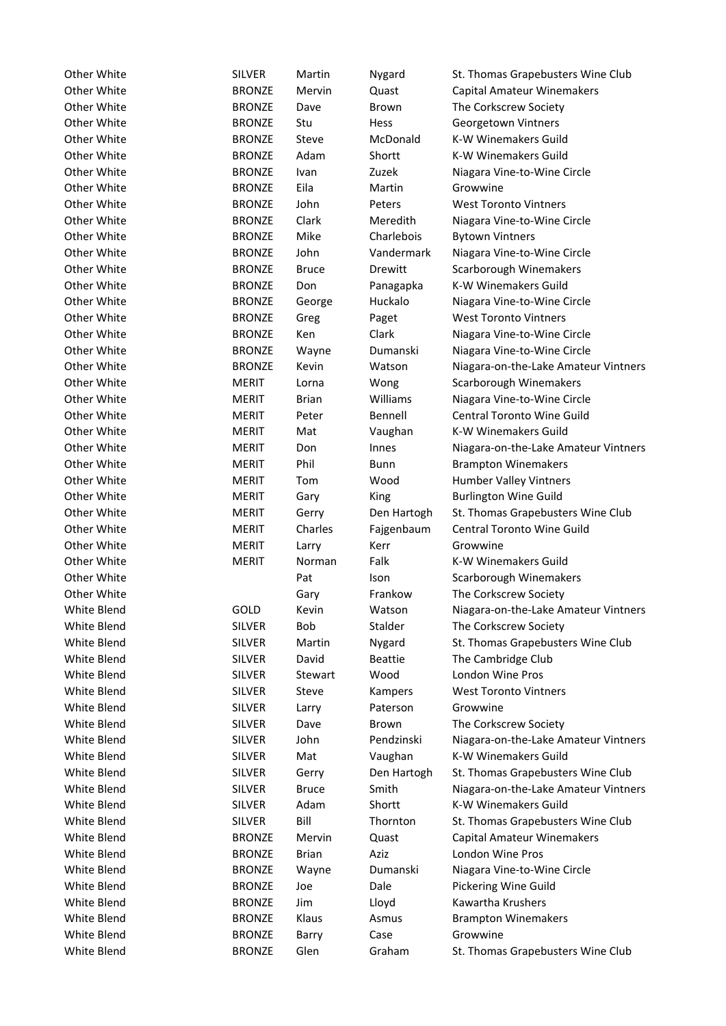| Other White | <b>SILVER</b> | Martin       | Nygard         | St. Thomas Grapebusters Wine Club    |
|-------------|---------------|--------------|----------------|--------------------------------------|
| Other White | <b>BRONZE</b> | Mervin       | Quast          | Capital Amateur Winemakers           |
| Other White | <b>BRONZE</b> | Dave         | <b>Brown</b>   | The Corkscrew Society                |
| Other White | <b>BRONZE</b> | Stu          | <b>Hess</b>    | Georgetown Vintners                  |
| Other White | <b>BRONZE</b> | Steve        | McDonald       | K-W Winemakers Guild                 |
| Other White | <b>BRONZE</b> | Adam         | Shortt         | <b>K-W Winemakers Guild</b>          |
| Other White | <b>BRONZE</b> | Ivan         | Zuzek          | Niagara Vine-to-Wine Circle          |
| Other White | <b>BRONZE</b> | Eila         | Martin         | Growwine                             |
| Other White | <b>BRONZE</b> | John         | Peters         | <b>West Toronto Vintners</b>         |
| Other White | <b>BRONZE</b> | Clark        | Meredith       | Niagara Vine-to-Wine Circle          |
| Other White | <b>BRONZE</b> | Mike         | Charlebois     | <b>Bytown Vintners</b>               |
| Other White | <b>BRONZE</b> | John         | Vandermark     | Niagara Vine-to-Wine Circle          |
| Other White | <b>BRONZE</b> | <b>Bruce</b> | Drewitt        | Scarborough Winemakers               |
| Other White | <b>BRONZE</b> | Don          |                | <b>K-W Winemakers Guild</b>          |
|             |               |              | Panagapka      |                                      |
| Other White | <b>BRONZE</b> | George       | Huckalo        | Niagara Vine-to-Wine Circle          |
| Other White | <b>BRONZE</b> | Greg         | Paget          | <b>West Toronto Vintners</b>         |
| Other White | <b>BRONZE</b> | Ken          | Clark          | Niagara Vine-to-Wine Circle          |
| Other White | <b>BRONZE</b> | Wayne        | Dumanski       | Niagara Vine-to-Wine Circle          |
| Other White | <b>BRONZE</b> | Kevin        | Watson         | Niagara-on-the-Lake Amateur Vintners |
| Other White | <b>MERIT</b>  | Lorna        | Wong           | Scarborough Winemakers               |
| Other White | <b>MERIT</b>  | <b>Brian</b> | Williams       | Niagara Vine-to-Wine Circle          |
| Other White | <b>MERIT</b>  | Peter        | Bennell        | Central Toronto Wine Guild           |
| Other White | <b>MERIT</b>  | Mat          | Vaughan        | K-W Winemakers Guild                 |
| Other White | <b>MERIT</b>  | Don          | Innes          | Niagara-on-the-Lake Amateur Vintners |
| Other White | <b>MERIT</b>  | Phil         | Bunn           | <b>Brampton Winemakers</b>           |
| Other White | <b>MERIT</b>  | Tom          | Wood           | Humber Valley Vintners               |
| Other White | <b>MERIT</b>  | Gary         | King           | <b>Burlington Wine Guild</b>         |
| Other White | <b>MERIT</b>  | Gerry        | Den Hartogh    | St. Thomas Grapebusters Wine Club    |
| Other White | <b>MERIT</b>  | Charles      | Fajgenbaum     | Central Toronto Wine Guild           |
| Other White | <b>MERIT</b>  | Larry        | Kerr           | Growwine                             |
| Other White | <b>MERIT</b>  | Norman       | Falk           | K-W Winemakers Guild                 |
| Other White |               | Pat          | Ison           | Scarborough Winemakers               |
| Other White |               | Gary         | Frankow        | The Corkscrew Society                |
| White Blend | GOLD          | Kevin        | Watson         | Niagara-on-the-Lake Amateur Vintners |
| White Blend | <b>SILVER</b> | Bob          | Stalder        | The Corkscrew Society                |
| White Blend | <b>SILVER</b> | Martin       | Nygard         | St. Thomas Grapebusters Wine Club    |
| White Blend | <b>SILVER</b> | David        | <b>Beattie</b> | The Cambridge Club                   |
| White Blend | <b>SILVER</b> | Stewart      | Wood           | London Wine Pros                     |
| White Blend | <b>SILVER</b> | Steve        | Kampers        | <b>West Toronto Vintners</b>         |
| White Blend | <b>SILVER</b> | Larry        | Paterson       | Growwine                             |
| White Blend | <b>SILVER</b> | Dave         | Brown          | The Corkscrew Society                |
| White Blend | <b>SILVER</b> | John         | Pendzinski     | Niagara-on-the-Lake Amateur Vintners |
| White Blend | <b>SILVER</b> | Mat          | Vaughan        | K-W Winemakers Guild                 |
| White Blend | <b>SILVER</b> | Gerry        | Den Hartogh    | St. Thomas Grapebusters Wine Club    |
| White Blend | <b>SILVER</b> | <b>Bruce</b> | Smith          | Niagara-on-the-Lake Amateur Vintners |
| White Blend | <b>SILVER</b> | Adam         | Shortt         | K-W Winemakers Guild                 |
| White Blend | <b>SILVER</b> | Bill         | Thornton       | St. Thomas Grapebusters Wine Club    |
| White Blend | <b>BRONZE</b> | Mervin       | Quast          | Capital Amateur Winemakers           |
| White Blend | <b>BRONZE</b> | <b>Brian</b> | Aziz           | London Wine Pros                     |
| White Blend | <b>BRONZE</b> | Wayne        | Dumanski       | Niagara Vine-to-Wine Circle          |
| White Blend | <b>BRONZE</b> | Joe          | Dale           | Pickering Wine Guild                 |
| White Blend | <b>BRONZE</b> | Jim          | Lloyd          | Kawartha Krushers                    |
| White Blend | <b>BRONZE</b> | Klaus        | Asmus          | <b>Brampton Winemakers</b>           |
| White Blend | <b>BRONZE</b> | Barry        | Case           | Growwine                             |
| White Blend | <b>BRONZE</b> | Glen         | Graham         | St. Thomas Grapebusters Wine Club    |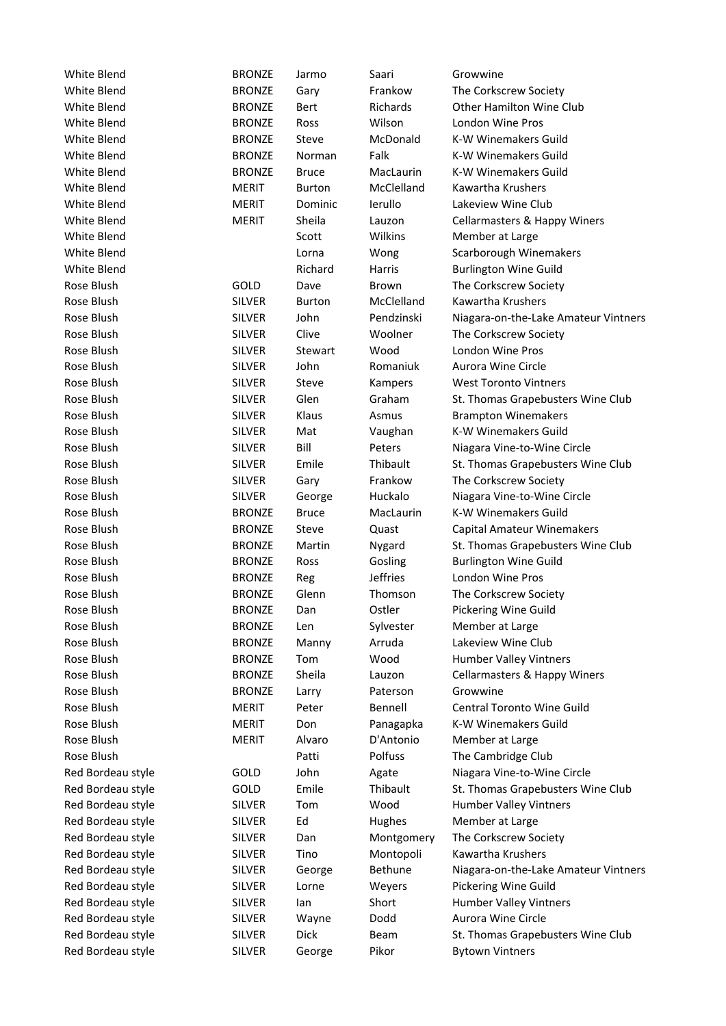| White Blend              | <b>BRONZE</b>                  | Jarmo          | Saari               | Growwine                                 |
|--------------------------|--------------------------------|----------------|---------------------|------------------------------------------|
| White Blend              | <b>BRONZE</b>                  | Gary           | Frankow             | The Corkscrew Society                    |
| White Blend              | <b>BRONZE</b>                  | Bert           | Richards            | <b>Other Hamilton Wine Club</b>          |
| White Blend              | <b>BRONZE</b>                  | Ross           | Wilson              | London Wine Pros                         |
| White Blend              | <b>BRONZE</b>                  | Steve          | McDonald            | K-W Winemakers Guild                     |
| White Blend              | <b>BRONZE</b>                  | Norman         | Falk                | K-W Winemakers Guild                     |
| White Blend              | <b>BRONZE</b>                  | <b>Bruce</b>   | MacLaurin           | K-W Winemakers Guild                     |
| White Blend              | <b>MERIT</b>                   | <b>Burton</b>  | McClelland          | Kawartha Krushers                        |
| White Blend              | <b>MERIT</b>                   | Dominic        | lerullo             | Lakeview Wine Club                       |
| White Blend              | <b>MERIT</b>                   | Sheila         | Lauzon              | <b>Cellarmasters &amp; Happy Winers</b>  |
| White Blend              |                                | Scott          | Wilkins             | Member at Large                          |
| White Blend              |                                | Lorna          | Wong                | Scarborough Winemakers                   |
| White Blend              |                                | Richard        | Harris              | <b>Burlington Wine Guild</b>             |
| Rose Blush               | GOLD                           | Dave           | Brown               | The Corkscrew Society                    |
| Rose Blush               | <b>SILVER</b>                  | Burton         | McClelland          | Kawartha Krushers                        |
| Rose Blush               | <b>SILVER</b>                  | John           | Pendzinski          | Niagara-on-the-Lake Amateur Vintners     |
| Rose Blush               | <b>SILVER</b>                  | Clive          | Woolner             | The Corkscrew Society                    |
| Rose Blush               | <b>SILVER</b>                  | Stewart        | Wood                | London Wine Pros                         |
| Rose Blush               | <b>SILVER</b>                  | John           | Romaniuk            | Aurora Wine Circle                       |
| Rose Blush               | <b>SILVER</b>                  | Steve          | Kampers             | <b>West Toronto Vintners</b>             |
| Rose Blush               | <b>SILVER</b>                  | Glen           | Graham              | St. Thomas Grapebusters Wine Club        |
| Rose Blush               | <b>SILVER</b>                  | Klaus          | Asmus               | <b>Brampton Winemakers</b>               |
| Rose Blush               | <b>SILVER</b>                  | Mat            | Vaughan             | K-W Winemakers Guild                     |
| Rose Blush               | <b>SILVER</b>                  | Bill           | Peters              | Niagara Vine-to-Wine Circle              |
| Rose Blush               | <b>SILVER</b>                  | Emile          | Thibault            | St. Thomas Grapebusters Wine Club        |
| Rose Blush               | <b>SILVER</b>                  | Gary           | Frankow             | The Corkscrew Society                    |
| Rose Blush               | <b>SILVER</b>                  | George         | Huckalo             | Niagara Vine-to-Wine Circle              |
| Rose Blush               | <b>BRONZE</b>                  | <b>Bruce</b>   | MacLaurin           | <b>K-W Winemakers Guild</b>              |
| Rose Blush               | <b>BRONZE</b>                  | Steve          | Quast               | <b>Capital Amateur Winemakers</b>        |
| Rose Blush               | <b>BRONZE</b>                  | Martin         | Nygard              | St. Thomas Grapebusters Wine Club        |
| Rose Blush               | <b>BRONZE</b>                  | Ross           | Gosling             | <b>Burlington Wine Guild</b>             |
| Rose Blush               | <b>BRONZE</b>                  | Reg            | <b>Jeffries</b>     | London Wine Pros                         |
| Rose Blush               | <b>BRONZE</b>                  | Glenn          | Thomson             | The Corkscrew Society                    |
| Rose Blush               | <b>BRONZE</b>                  |                | Ostler              |                                          |
|                          |                                | Dan            |                     | Pickering Wine Guild                     |
| Rose Blush<br>Rose Blush | <b>BRONZE</b>                  | Len            | Sylvester<br>Arruda | Member at Large<br>Lakeview Wine Club    |
|                          | <b>BRONZE</b>                  | Manny          |                     |                                          |
| Rose Blush<br>Rose Blush | <b>BRONZE</b><br><b>BRONZE</b> | Tom<br>Sheila  | Wood<br>Lauzon      | Humber Valley Vintners                   |
|                          |                                |                |                     | Cellarmasters & Happy Winers<br>Growwine |
| Rose Blush               | <b>BRONZE</b>                  | Larry<br>Peter | Paterson            |                                          |
| Rose Blush               | <b>MERIT</b>                   |                | Bennell             | Central Toronto Wine Guild               |
| Rose Blush               | <b>MERIT</b>                   | Don            | Panagapka           | K-W Winemakers Guild                     |
| Rose Blush               | <b>MERIT</b>                   | Alvaro         | D'Antonio           | Member at Large                          |
| Rose Blush               |                                | Patti          | Polfuss             | The Cambridge Club                       |
| Red Bordeau style        | GOLD                           | John           | Agate               | Niagara Vine-to-Wine Circle              |
| Red Bordeau style        | GOLD                           | Emile          | Thibault            | St. Thomas Grapebusters Wine Club        |
| Red Bordeau style        | <b>SILVER</b>                  | Tom            | Wood                | Humber Valley Vintners                   |
| Red Bordeau style        | <b>SILVER</b>                  | Ed             | Hughes              | Member at Large                          |
| Red Bordeau style        | <b>SILVER</b>                  | Dan            | Montgomery          | The Corkscrew Society                    |
| Red Bordeau style        | <b>SILVER</b>                  | Tino           | Montopoli           | Kawartha Krushers                        |
| Red Bordeau style        | <b>SILVER</b>                  | George         | Bethune             | Niagara-on-the-Lake Amateur Vintners     |
| Red Bordeau style        | <b>SILVER</b>                  | Lorne          | Weyers              | Pickering Wine Guild                     |
| Red Bordeau style        | <b>SILVER</b>                  | lan            | Short               | Humber Valley Vintners                   |
| Red Bordeau style        | <b>SILVER</b>                  | Wayne          | Dodd                | Aurora Wine Circle                       |
| Red Bordeau style        | <b>SILVER</b>                  | Dick           | Beam                | St. Thomas Grapebusters Wine Club        |
| Red Bordeau style        | <b>SILVER</b>                  | George         | Pikor               | <b>Bytown Vintners</b>                   |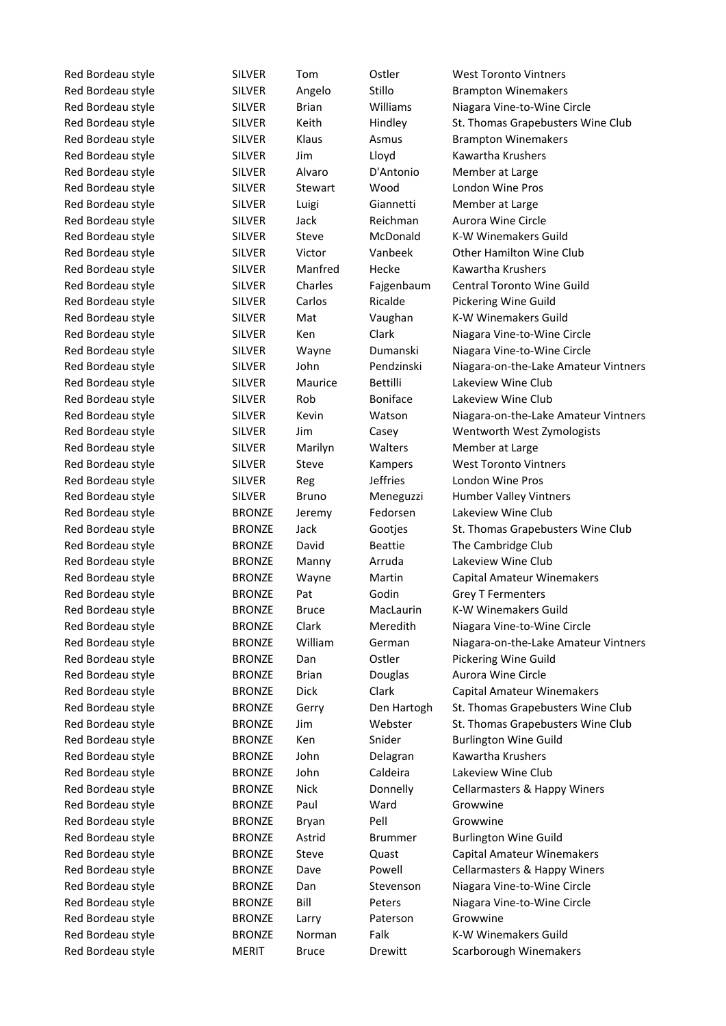Red Bordeau style **BRONZE** Paul Ward Growwine Red Bordeau style The BRONZE Bryan Pell Growwine Red Bordeau style **BRONZE** Larry Paterson Growwine

Red Bordeau style Toll CHLVER Tom Gatler West Toronto Vintners Red Bordeau style SILVER Angelo Stillo Brampton Winemakers Red Bordeau style SILVER Brian Williams Niagara Vine-to-Wine Circle Red Bordeau style SILVER Keith Hindley St. Thomas Grapebusters Wine Club Red Bordeau style SILVER Klaus Asmus Brampton Winemakers Red Bordeau style SILVER Jim Lloyd Kawartha Krushers Red Bordeau style **SILVER** Alvaro D'Antonio Member at Large Red Bordeau style **SILVER** Stewart Wood London Wine Pros Red Bordeau style **SILVER** Luigi Giannetti Member at Large Red Bordeau style SILVER Jack Reichman Aurora Wine Circle Red Bordeau style SILVER Steve McDonald K-W Winemakers Guild Red Bordeau style SILVER Victor Vanbeek Other Hamilton Wine Club Red Bordeau style **SILVER** Manfred Hecke Kawartha Krushers Red Bordeau style SILVER Charles Fajgenbaum Central Toronto Wine Guild Red Bordeau style SILVER Carlos Ricalde Pickering Wine Guild Red Bordeau style SILVER Mat Vaughan K-W Winemakers Guild Red Bordeau style SILVER Ken Clark Niagara Vine-to-Wine Circle Red Bordeau style SILVER Wayne Dumanski Niagara Vine-to-Wine Circle Red Bordeau style SILVER John Pendzinski Niagara-on-the-Lake Amateur Vintners Red Bordeau style SILVER Maurice Bettilli Lakeview Wine Club Red Bordeau style SILVER Rob Boniface Lakeview Wine Club Red Bordeau style SILVER Kevin Watson Niagara-on-the-Lake Amateur Vintners Red Bordeau style SILVER Jim Casey Wentworth West Zymologists Red Bordeau style SILVER Marilyn Walters Member at Large Red Bordeau style **SILVER** Steve Kampers West Toronto Vintners Red Bordeau style SILVER Reg Jeffries London Wine Pros Red Bordeau style SILVER Bruno Meneguzzi Humber Valley Vintners Red Bordeau style **BRONZE** Jeremy Fedorsen Lakeview Wine Club Red Bordeau style The BRONZE Jack Gootjes St. Thomas Grapebusters Wine Club Red Bordeau style **BRONZE** David Beattie The Cambridge Club Red Bordeau style **BRONZE** Manny Arruda Lakeview Wine Club Red Bordeau style **BRONZE** Wayne Martin Capital Amateur Winemakers Red Bordeau style **BRONZE** Pat Godin Grey T Fermenters Red Bordeau style **BRONZE** Bruce MacLaurin K-W Winemakers Guild Red Bordeau style **BRONZE** Clark Meredith Niagara Vine-to-Wine Circle Red Bordeau style **BRONZE** William German Niagara-on-the-Lake Amateur Vintners Red Bordeau style **BRONZE** Dan Ostler Pickering Wine Guild Red Bordeau style **BRONZE** Brian Douglas Aurora Wine Circle Red Bordeau style **BRONZE** Dick Clark Capital Amateur Winemakers Red Bordeau style **BRONZE** Gerry Den Hartogh St. Thomas Grapebusters Wine Club Red Bordeau style **BRONZE** Jim Webster St. Thomas Grapebusters Wine Club Red Bordeau style **BRONZE** Ken Snider Burlington Wine Guild Red Bordeau style BRONZE John Delagran Kawartha Krushers Red Bordeau style **BRONZE** John Caldeira Lakeview Wine Club Red Bordeau style **BRONZE** Nick Donnelly Cellarmasters & Happy Winers Red Bordeau style **BRONZE** Astrid Brummer Burlington Wine Guild Red Bordeau style **BRONZE** Steve Quast Capital Amateur Winemakers Red Bordeau style **BRONZE** Dave Powell Cellarmasters & Happy Winers Red Bordeau style **BRONZE** Dan Stevenson Niagara Vine-to-Wine Circle Red Bordeau style **BRONZE** Bill Peters Niagara Vine-to-Wine Circle Red Bordeau style **BRONZE** Norman Falk K-W Winemakers Guild Red Bordeau style **MERIT** Bruce Drewitt Scarborough Winemakers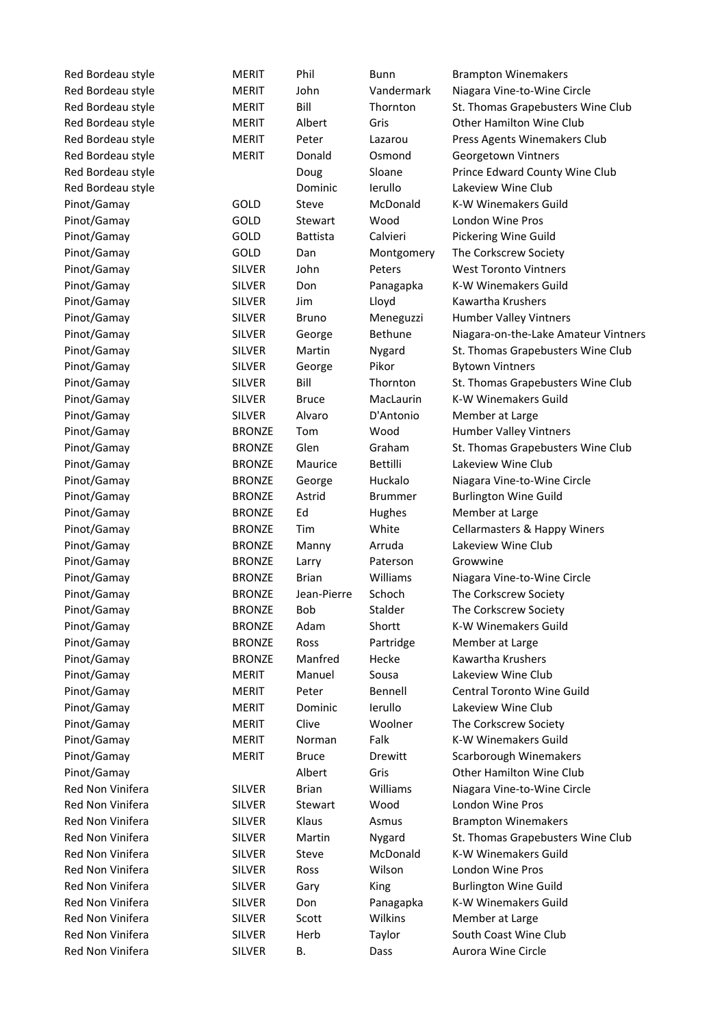| Red Bordeau style | <b>MERIT</b>  | Phil            | Bunn            | <b>Brampton Winemakers</b>           |
|-------------------|---------------|-----------------|-----------------|--------------------------------------|
| Red Bordeau style | <b>MERIT</b>  | John            | Vandermark      | Niagara Vine-to-Wine Circle          |
| Red Bordeau style | <b>MERIT</b>  | Bill            | Thornton        | St. Thomas Grapebusters Wine Club    |
| Red Bordeau style | <b>MERIT</b>  | Albert          | Gris            | Other Hamilton Wine Club             |
| Red Bordeau style | <b>MERIT</b>  | Peter           | Lazarou         | Press Agents Winemakers Club         |
| Red Bordeau style | <b>MERIT</b>  | Donald          | Osmond          | Georgetown Vintners                  |
| Red Bordeau style |               | Doug            | Sloane          | Prince Edward County Wine Club       |
| Red Bordeau style |               | Dominic         | lerullo         | Lakeview Wine Club                   |
| Pinot/Gamay       | GOLD          | Steve           | McDonald        | K-W Winemakers Guild                 |
| Pinot/Gamay       | GOLD          | Stewart         | Wood            | London Wine Pros                     |
| Pinot/Gamay       | GOLD          | <b>Battista</b> | Calvieri        | Pickering Wine Guild                 |
| Pinot/Gamay       | GOLD          | Dan             | Montgomery      | The Corkscrew Society                |
| Pinot/Gamay       | <b>SILVER</b> | John            | Peters          | <b>West Toronto Vintners</b>         |
| Pinot/Gamay       | <b>SILVER</b> | Don             | Panagapka       | K-W Winemakers Guild                 |
| Pinot/Gamay       | <b>SILVER</b> | Jim             | Lloyd           | Kawartha Krushers                    |
| Pinot/Gamay       | <b>SILVER</b> | <b>Bruno</b>    | Meneguzzi       | Humber Valley Vintners               |
| Pinot/Gamay       | <b>SILVER</b> | George          | Bethune         | Niagara-on-the-Lake Amateur Vintners |
| Pinot/Gamay       | <b>SILVER</b> | Martin          | Nygard          | St. Thomas Grapebusters Wine Club    |
| Pinot/Gamay       | <b>SILVER</b> | George          | Pikor           | <b>Bytown Vintners</b>               |
| Pinot/Gamay       | <b>SILVER</b> | Bill            | Thornton        | St. Thomas Grapebusters Wine Club    |
| Pinot/Gamay       | <b>SILVER</b> | <b>Bruce</b>    | MacLaurin       | K-W Winemakers Guild                 |
| Pinot/Gamay       | <b>SILVER</b> | Alvaro          | D'Antonio       | Member at Large                      |
| Pinot/Gamay       | <b>BRONZE</b> | Tom             | Wood            | Humber Valley Vintners               |
| Pinot/Gamay       | <b>BRONZE</b> | Glen            | Graham          | St. Thomas Grapebusters Wine Club    |
| Pinot/Gamay       | <b>BRONZE</b> | Maurice         | <b>Bettilli</b> | Lakeview Wine Club                   |
| Pinot/Gamay       | <b>BRONZE</b> | George          | Huckalo         | Niagara Vine-to-Wine Circle          |
| Pinot/Gamay       | <b>BRONZE</b> | Astrid          | <b>Brummer</b>  | <b>Burlington Wine Guild</b>         |
| Pinot/Gamay       | <b>BRONZE</b> | Ed              | Hughes          | Member at Large                      |
| Pinot/Gamay       | <b>BRONZE</b> | Tim             | White           | Cellarmasters & Happy Winers         |
| Pinot/Gamay       | <b>BRONZE</b> | Manny           | Arruda          | Lakeview Wine Club                   |
| Pinot/Gamay       | <b>BRONZE</b> | Larry           | Paterson        | Growwine                             |
| Pinot/Gamay       | <b>BRONZE</b> | <b>Brian</b>    | Williams        | Niagara Vine-to-Wine Circle          |
| Pinot/Gamay       | <b>BRONZE</b> | Jean-Pierre     | Schoch          | The Corkscrew Society                |
|                   | <b>BRONZE</b> | <b>Bob</b>      | Stalder         |                                      |
| Pinot/Gamay       |               |                 |                 | The Corkscrew Society                |
| Pinot/Gamay       | <b>BRONZE</b> | Adam            | Shortt          | K-W Winemakers Guild                 |
| Pinot/Gamay       | <b>BRONZE</b> | Ross            | Partridge       | Member at Large                      |
| Pinot/Gamay       | <b>BRONZE</b> | Manfred         | Hecke           | Kawartha Krushers                    |
| Pinot/Gamay       | <b>MERIT</b>  | Manuel          | Sousa           | Lakeview Wine Club                   |
| Pinot/Gamay       | <b>MERIT</b>  | Peter           | Bennell         | Central Toronto Wine Guild           |
| Pinot/Gamay       | <b>MERIT</b>  | Dominic         | lerullo         | Lakeview Wine Club                   |
| Pinot/Gamay       | <b>MERIT</b>  | Clive           | Woolner         | The Corkscrew Society                |
| Pinot/Gamay       | <b>MERIT</b>  | Norman          | Falk            | K-W Winemakers Guild                 |
| Pinot/Gamay       | <b>MERIT</b>  | <b>Bruce</b>    | Drewitt         | Scarborough Winemakers               |
| Pinot/Gamay       |               | Albert          | Gris            | Other Hamilton Wine Club             |
| Red Non Vinifera  | <b>SILVER</b> | <b>Brian</b>    | Williams        | Niagara Vine-to-Wine Circle          |
| Red Non Vinifera  | <b>SILVER</b> | Stewart         | Wood            | London Wine Pros                     |
| Red Non Vinifera  | <b>SILVER</b> | Klaus           | Asmus           | <b>Brampton Winemakers</b>           |
| Red Non Vinifera  | <b>SILVER</b> | Martin          | Nygard          | St. Thomas Grapebusters Wine Club    |
| Red Non Vinifera  | <b>SILVER</b> | Steve           | McDonald        | K-W Winemakers Guild                 |
| Red Non Vinifera  | <b>SILVER</b> | Ross            | Wilson          | London Wine Pros                     |
| Red Non Vinifera  | <b>SILVER</b> | Gary            | King            | <b>Burlington Wine Guild</b>         |
| Red Non Vinifera  | <b>SILVER</b> | Don             | Panagapka       | K-W Winemakers Guild                 |
| Red Non Vinifera  | <b>SILVER</b> | Scott           | Wilkins         | Member at Large                      |
| Red Non Vinifera  | <b>SILVER</b> | Herb            | Taylor          | South Coast Wine Club                |
| Red Non Vinifera  | <b>SILVER</b> | В.              | Dass            | Aurora Wine Circle                   |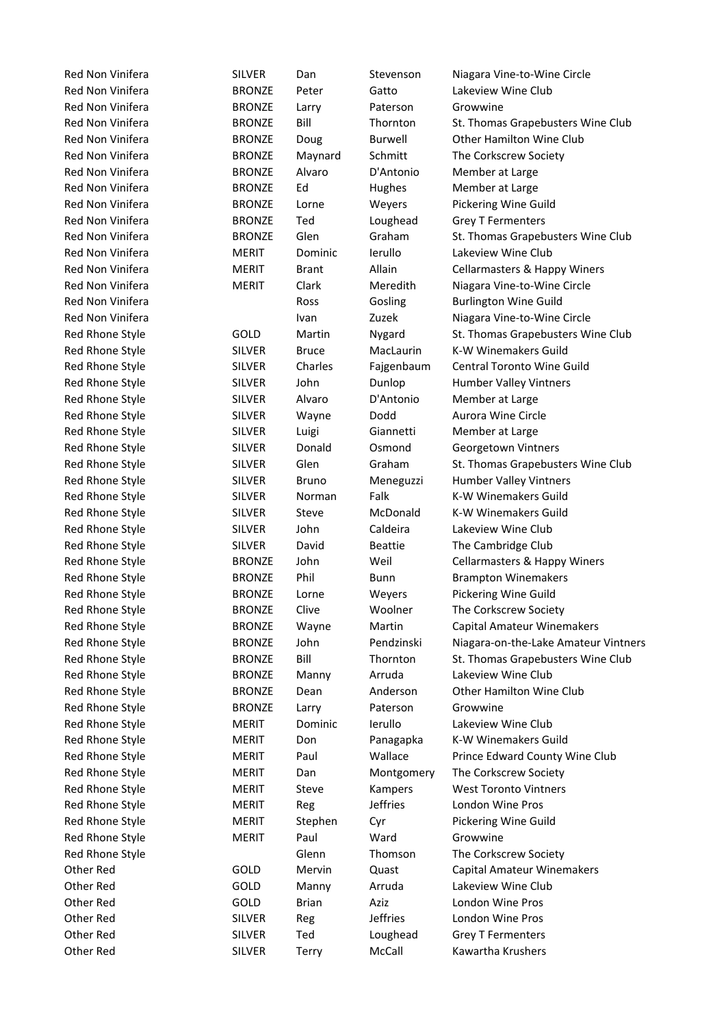Red Non Vinifera **SILVER** Dan Stevenson Niagara Vine-to-Wine Circle Red Non Vinifera **BRONZE** Peter Gatto Lakeview Wine Club Red Non Vinifera **BRONZE** Larry Paterson Growwine Red Non Vinifera **BRONZE** Doug Burwell Other Hamilton Wine Club Red Non Vinifera **BRONZE** Maynard Schmitt The Corkscrew Society Red Non Vinifera **BRONZE** Alvaro D'Antonio Member at Large Red Non Vinifera **BRONZE** Ed Hughes Member at Large Red Non Vinifera BRONZE Lorne Weyers Pickering Wine Guild Red Non Vinifera **BRONZE** Ted Loughead Grey T Fermenters Red Non Vinifera **MERIT** Dominic Ierullo Lakeview Wine Club Red Non Vinifera **MERIT** Clark Meredith Niagara Vine-to-Wine Circle Red Non Vinifera **Ross** Gosling Burlington Wine Guild Red Non Vinifera **Ivan** Ivan Zuzek Niagara Vine-to-Wine Circle Red Rhone Style SILVER Bruce MacLaurin K-W Winemakers Guild Red Rhone Style SILVER Charles Fajgenbaum Central Toronto Wine Guild Red Rhone Style SILVER John Dunlop Humber Valley Vintners Red Rhone Style **SILVER** Alvaro D'Antonio Member at Large Red Rhone Style **SILVER** Wayne Dodd Aurora Wine Circle Red Rhone Style **SILVER** Luigi Giannetti Member at Large Red Rhone Style **SILVER** Donald Osmond Georgetown Vintners Red Rhone Style SILVER Bruno Meneguzzi Humber Valley Vintners Red Rhone Style SILVER Norman Falk K-W Winemakers Guild Red Rhone Style SILVER Steve McDonald K-W Winemakers Guild Red Rhone Style **SILVER** John Caldeira Lakeview Wine Club Red Rhone Style **SILVER** David Beattie The Cambridge Club Red Rhone Style **BRONZE** Phil Bunn Brampton Winemakers Red Rhone Style **BRONZE** Lorne Weyers Pickering Wine Guild Red Rhone Style **BRONZE** Clive Woolner The Corkscrew Society Red Rhone Style **BRONZE** Manny Arruda Lakeview Wine Club Red Rhone Style **BRONZE** Dean Anderson Other Hamilton Wine Club Red Rhone Style **BRONZE** Larry Paterson Growwine Red Rhone Style **MERIT** Dominic Ierullo Lakeview Wine Club Red Rhone Style **MERIT** Don Panagapka K-W Winemakers Guild Red Rhone Style **MERIT** Dan Montgomery The Corkscrew Society Red Rhone Style **MERIT** Steve Kampers West Toronto Vintners Red Rhone Style **MERIT** Reg Jeffries London Wine Pros Red Rhone Style **MERIT** Stephen Cyr Pickering Wine Guild Red Rhone Style **MERIT** Paul Ward Growwine Red Rhone Style Glenn Thomson The Corkscrew Society Other Red **GOLD** Manny Arruda Lakeview Wine Club Other Red GOLD Brian Aziz London Wine Pros Other Red SILVER Reg Jeffries London Wine Pros Other Red SILVER Ted Loughead Grey T Fermenters Other Red **SILVER** Terry McCall Kawartha Krushers

Red Non Vinifera **BRONZE** Bill Thornton St. Thomas Grapebusters Wine Club Red Non Vinifera **BRONZE** Glen Graham St. Thomas Grapebusters Wine Club Red Non Vinifera **MERIT** Brant Allain Cellarmasters & Happy Winers Red Rhone Style **GOLD** Martin Nygard St. Thomas Grapebusters Wine Club Red Rhone Style SILVER Glen Graham St. Thomas Grapebusters Wine Club Red Rhone Style **BRONZE** John Weil Cellarmasters & Happy Winers Red Rhone Style **BRONZE** Wayne Martin Capital Amateur Winemakers Red Rhone Style **BRONZE** John Pendzinski Niagara-on-the-Lake Amateur Vintners Red Rhone Style **BRONZE** Bill Thornton St. Thomas Grapebusters Wine Club Red Rhone Style **MERIT** Paul Wallace Prince Edward County Wine Club Other Red **GOLD** Mervin Quast Capital Amateur Winemakers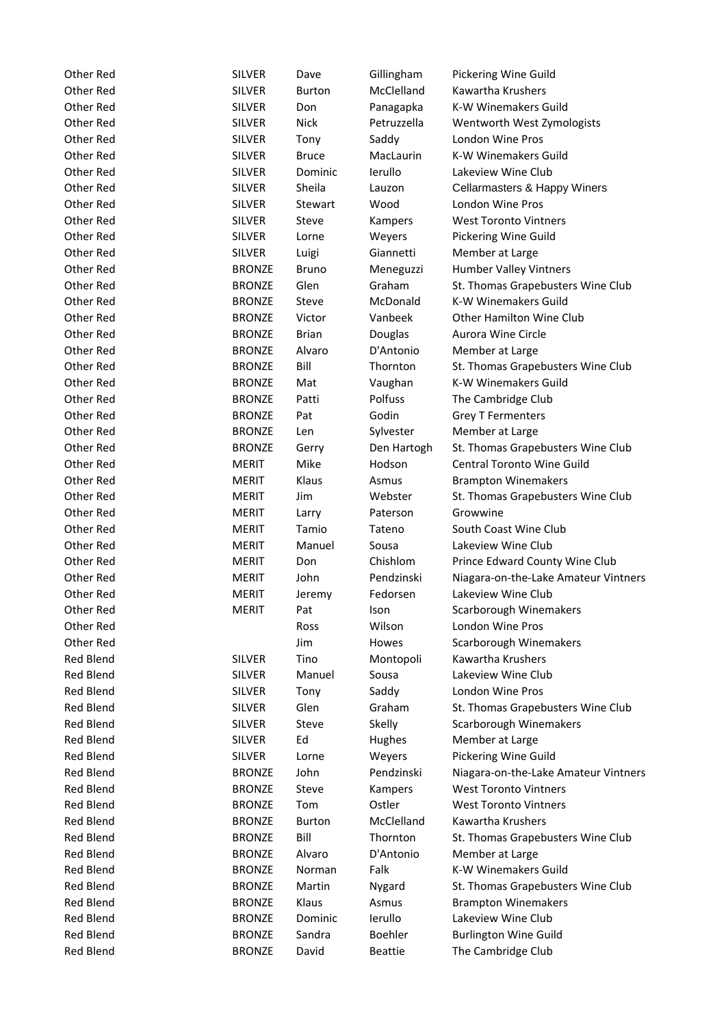| Other Red              | <b>SILVER</b>         | Dave           | Gillingham             | Pickering Wine Guild                                       |
|------------------------|-----------------------|----------------|------------------------|------------------------------------------------------------|
| Other Red              | <b>SILVER</b>         | <b>Burton</b>  | McClelland             | Kawartha Krushers                                          |
| Other Red              | <b>SILVER</b>         | Don            | Panagapka              | K-W Winemakers Guild                                       |
| Other Red              | <b>SILVER</b>         | <b>Nick</b>    | Petruzzella            | Wentworth West Zymologists                                 |
| Other Red              | <b>SILVER</b>         | Tony           | Saddy                  | London Wine Pros                                           |
| Other Red              | <b>SILVER</b>         | <b>Bruce</b>   | MacLaurin              | K-W Winemakers Guild                                       |
| Other Red              | <b>SILVER</b>         | Dominic        | lerullo                | Lakeview Wine Club                                         |
| Other Red              | <b>SILVER</b>         | Sheila         | Lauzon                 | Cellarmasters & Happy Winers                               |
| Other Red              | <b>SILVER</b>         | Stewart        | Wood                   | London Wine Pros                                           |
| Other Red              | <b>SILVER</b>         | Steve          | Kampers                | <b>West Toronto Vintners</b>                               |
| Other Red              | <b>SILVER</b>         | Lorne          | Weyers                 | Pickering Wine Guild                                       |
| Other Red              | <b>SILVER</b>         | Luigi          | Giannetti              | Member at Large                                            |
| Other Red              | <b>BRONZE</b>         | <b>Bruno</b>   | Meneguzzi              | Humber Valley Vintners                                     |
| Other Red              | <b>BRONZE</b>         | Glen           | Graham                 | St. Thomas Grapebusters Wine Club                          |
| Other Red              | <b>BRONZE</b>         | Steve          | McDonald               | K-W Winemakers Guild                                       |
| Other Red              | <b>BRONZE</b>         | Victor         | Vanbeek                | <b>Other Hamilton Wine Club</b>                            |
| Other Red              | <b>BRONZE</b>         | <b>Brian</b>   | Douglas                | Aurora Wine Circle                                         |
| Other Red              | <b>BRONZE</b>         | Alvaro         | D'Antonio              | Member at Large                                            |
| Other Red              | <b>BRONZE</b>         | Bill           | Thornton               | St. Thomas Grapebusters Wine Club                          |
| Other Red              | <b>BRONZE</b>         | Mat            | Vaughan                | K-W Winemakers Guild                                       |
| Other Red              | <b>BRONZE</b>         | Patti          | Polfuss                | The Cambridge Club                                         |
| Other Red              | <b>BRONZE</b>         | Pat            | Godin                  | <b>Grey T Fermenters</b>                                   |
| Other Red              | <b>BRONZE</b>         | Len            | Sylvester              | Member at Large                                            |
| Other Red              | <b>BRONZE</b>         | Gerry          | Den Hartogh            | St. Thomas Grapebusters Wine Club                          |
| Other Red              | <b>MERIT</b>          | Mike           | Hodson                 | Central Toronto Wine Guild                                 |
| Other Red              | <b>MERIT</b>          | Klaus          | Asmus                  | <b>Brampton Winemakers</b>                                 |
| Other Red              | <b>MERIT</b>          | Jim            | Webster                | St. Thomas Grapebusters Wine Club                          |
| Other Red              | <b>MERIT</b>          |                | Paterson               | Growwine                                                   |
| Other Red              | <b>MERIT</b>          | Larry<br>Tamio | Tateno                 | South Coast Wine Club                                      |
|                        |                       |                |                        | Lakeview Wine Club                                         |
| Other Red<br>Other Red | <b>MERIT</b>          | Manuel         | Sousa<br>Chishlom      |                                                            |
|                        | <b>MERIT</b>          | Don            |                        | Prince Edward County Wine Club                             |
| Other Red              | MERIT<br><b>MERIT</b> | John           | Pendzinski<br>Fedorsen | Niagara-on-the-Lake Amateur Vintners<br>Lakeview Wine Club |
| Other Red              |                       | Jeremy         |                        |                                                            |
| Other Red              | <b>MERIT</b>          | Pat            | Ison                   | Scarborough Winemakers                                     |
| Other Red              |                       | Ross           | Wilson                 | London Wine Pros                                           |
| Other Red              |                       | Jim            | Howes                  | Scarborough Winemakers                                     |
| <b>Red Blend</b>       | <b>SILVER</b>         | Tino           | Montopoli              | Kawartha Krushers                                          |
| <b>Red Blend</b>       | <b>SILVER</b>         | Manuel         | Sousa                  | Lakeview Wine Club                                         |
| <b>Red Blend</b>       | <b>SILVER</b>         | Tony           | Saddy                  | London Wine Pros                                           |
| <b>Red Blend</b>       | <b>SILVER</b>         | Glen           | Graham                 | St. Thomas Grapebusters Wine Club                          |
| <b>Red Blend</b>       | <b>SILVER</b>         | Steve          | Skelly                 | Scarborough Winemakers                                     |
| <b>Red Blend</b>       | <b>SILVER</b>         | Ed             | <b>Hughes</b>          | Member at Large                                            |
| <b>Red Blend</b>       | <b>SILVER</b>         | Lorne          | Weyers                 | Pickering Wine Guild                                       |
| <b>Red Blend</b>       | <b>BRONZE</b>         | John           | Pendzinski             | Niagara-on-the-Lake Amateur Vintners                       |
| <b>Red Blend</b>       | <b>BRONZE</b>         | Steve          | Kampers                | <b>West Toronto Vintners</b>                               |
| <b>Red Blend</b>       | <b>BRONZE</b>         | Tom            | Ostler                 | <b>West Toronto Vintners</b>                               |
| <b>Red Blend</b>       | <b>BRONZE</b>         | <b>Burton</b>  | McClelland             | Kawartha Krushers                                          |
| <b>Red Blend</b>       | <b>BRONZE</b>         | Bill           | Thornton               | St. Thomas Grapebusters Wine Club                          |
| <b>Red Blend</b>       | <b>BRONZE</b>         | Alvaro         | D'Antonio              | Member at Large                                            |
| <b>Red Blend</b>       | <b>BRONZE</b>         | Norman         | Falk                   | K-W Winemakers Guild                                       |
| <b>Red Blend</b>       | <b>BRONZE</b>         | Martin         | Nygard                 | St. Thomas Grapebusters Wine Club                          |
| <b>Red Blend</b>       | <b>BRONZE</b>         | Klaus          | Asmus                  | <b>Brampton Winemakers</b>                                 |
| <b>Red Blend</b>       | <b>BRONZE</b>         | Dominic        | lerullo                | Lakeview Wine Club                                         |
| <b>Red Blend</b>       | <b>BRONZE</b>         | Sandra         | Boehler                | <b>Burlington Wine Guild</b>                               |
| <b>Red Blend</b>       | <b>BRONZE</b>         | David          | <b>Beattie</b>         | The Cambridge Club                                         |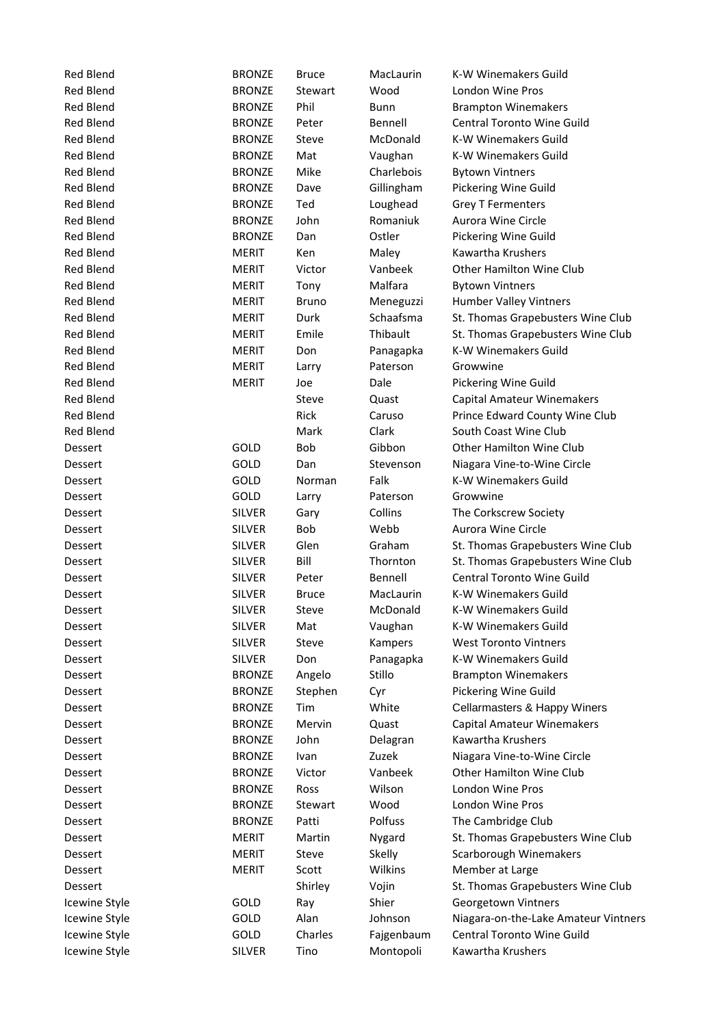| <b>Red Blend</b> | <b>BRONZE</b> | <b>Bruce</b> | MacLaurin  | K-W Winemakers Guild                 |
|------------------|---------------|--------------|------------|--------------------------------------|
| <b>Red Blend</b> | <b>BRONZE</b> | Stewart      | Wood       | London Wine Pros                     |
| <b>Red Blend</b> | <b>BRONZE</b> | Phil         | Bunn       | <b>Brampton Winemakers</b>           |
| <b>Red Blend</b> | <b>BRONZE</b> | Peter        | Bennell    | <b>Central Toronto Wine Guild</b>    |
| <b>Red Blend</b> | <b>BRONZE</b> | Steve        | McDonald   | K-W Winemakers Guild                 |
| <b>Red Blend</b> | <b>BRONZE</b> | Mat          | Vaughan    | K-W Winemakers Guild                 |
| <b>Red Blend</b> | <b>BRONZE</b> | Mike         | Charlebois | <b>Bytown Vintners</b>               |
| <b>Red Blend</b> | <b>BRONZE</b> | Dave         | Gillingham | Pickering Wine Guild                 |
| <b>Red Blend</b> | <b>BRONZE</b> | Ted          | Loughead   | <b>Grey T Fermenters</b>             |
| <b>Red Blend</b> | <b>BRONZE</b> | John         | Romaniuk   | Aurora Wine Circle                   |
| <b>Red Blend</b> | <b>BRONZE</b> | Dan          | Ostler     | Pickering Wine Guild                 |
| <b>Red Blend</b> | <b>MERIT</b>  | Ken          | Maley      | Kawartha Krushers                    |
| <b>Red Blend</b> | MERIT         | Victor       | Vanbeek    | <b>Other Hamilton Wine Club</b>      |
| <b>Red Blend</b> | <b>MERIT</b>  | Tony         | Malfara    | <b>Bytown Vintners</b>               |
| <b>Red Blend</b> | <b>MERIT</b>  | <b>Bruno</b> | Meneguzzi  | Humber Valley Vintners               |
| <b>Red Blend</b> | <b>MERIT</b>  | Durk         | Schaafsma  | St. Thomas Grapebusters Wine Club    |
| <b>Red Blend</b> | <b>MERIT</b>  | Emile        | Thibault   | St. Thomas Grapebusters Wine Club    |
| <b>Red Blend</b> | <b>MERIT</b>  | Don          | Panagapka  | K-W Winemakers Guild                 |
| <b>Red Blend</b> | <b>MERIT</b>  | Larry        | Paterson   | Growwine                             |
| <b>Red Blend</b> | <b>MERIT</b>  | Joe          | Dale       | Pickering Wine Guild                 |
| <b>Red Blend</b> |               | Steve        | Quast      | Capital Amateur Winemakers           |
| <b>Red Blend</b> |               | Rick         | Caruso     | Prince Edward County Wine Club       |
| <b>Red Blend</b> |               | Mark         | Clark      | South Coast Wine Club                |
| Dessert          | GOLD          | Bob          | Gibbon     | Other Hamilton Wine Club             |
| Dessert          | GOLD          | Dan          | Stevenson  | Niagara Vine-to-Wine Circle          |
| Dessert          | GOLD          | Norman       | Falk       | K-W Winemakers Guild                 |
| Dessert          | GOLD          | Larry        | Paterson   | Growwine                             |
| Dessert          | <b>SILVER</b> | Gary         | Collins    | The Corkscrew Society                |
| Dessert          | <b>SILVER</b> | Bob          | Webb       | Aurora Wine Circle                   |
| Dessert          | <b>SILVER</b> | Glen         | Graham     | St. Thomas Grapebusters Wine Club    |
| Dessert          | <b>SILVER</b> | Bill         | Thornton   | St. Thomas Grapebusters Wine Club    |
| Dessert          | <b>SILVER</b> | Peter        | Bennell    | Central Toronto Wine Guild           |
| Dessert          | <b>SILVER</b> | <b>Bruce</b> | MacLaurin  | K-W Winemakers Guild                 |
| Dessert          | <b>SILVER</b> | Steve        | McDonald   | K-W Winemakers Guild                 |
| Dessert          | <b>SILVER</b> | Mat          | Vaughan    | K-W Winemakers Guild                 |
| Dessert          | <b>SILVER</b> | Steve        | Kampers    | <b>West Toronto Vintners</b>         |
| Dessert          | <b>SILVER</b> | Don          | Panagapka  | K-W Winemakers Guild                 |
| Dessert          | <b>BRONZE</b> | Angelo       | Stillo     | <b>Brampton Winemakers</b>           |
| Dessert          | <b>BRONZE</b> | Stephen      | Cyr        | Pickering Wine Guild                 |
| Dessert          | <b>BRONZE</b> | Tim          | White      | Cellarmasters & Happy Winers         |
| Dessert          | <b>BRONZE</b> | Mervin       | Quast      | Capital Amateur Winemakers           |
| Dessert          | <b>BRONZE</b> | John         | Delagran   | Kawartha Krushers                    |
| Dessert          | <b>BRONZE</b> | Ivan         | Zuzek      | Niagara Vine-to-Wine Circle          |
| Dessert          | <b>BRONZE</b> | Victor       | Vanbeek    | Other Hamilton Wine Club             |
| Dessert          | <b>BRONZE</b> | Ross         | Wilson     | London Wine Pros                     |
| Dessert          | <b>BRONZE</b> | Stewart      | Wood       | London Wine Pros                     |
| Dessert          | <b>BRONZE</b> | Patti        | Polfuss    | The Cambridge Club                   |
| Dessert          | <b>MERIT</b>  | Martin       | Nygard     | St. Thomas Grapebusters Wine Club    |
| Dessert          | <b>MERIT</b>  | Steve        | Skelly     | Scarborough Winemakers               |
| Dessert          | <b>MERIT</b>  | Scott        | Wilkins    | Member at Large                      |
| Dessert          |               | Shirley      | Vojin      | St. Thomas Grapebusters Wine Club    |
| Icewine Style    | GOLD          | Ray          | Shier      | Georgetown Vintners                  |
| Icewine Style    | GOLD          | Alan         | Johnson    | Niagara-on-the-Lake Amateur Vintners |
| Icewine Style    | GOLD          | Charles      | Fajgenbaum | Central Toronto Wine Guild           |
| Icewine Style    | <b>SILVER</b> | Tino         | Montopoli  | Kawartha Krushers                    |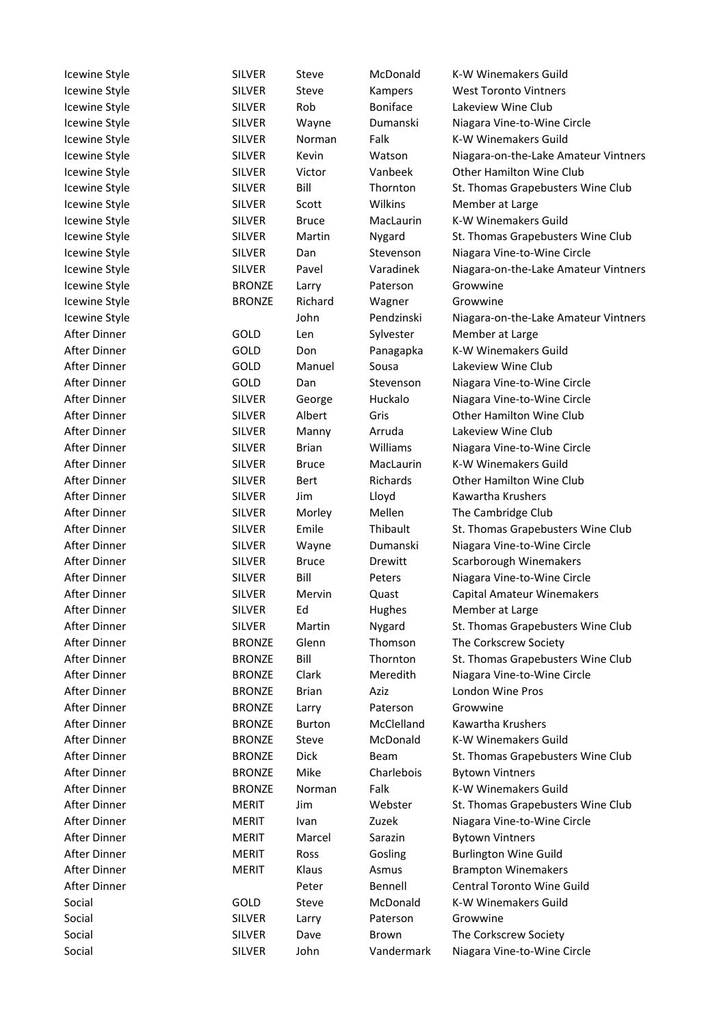| Icewine Style | <b>SILVER</b> | <b>Steve</b>  | McDonald   | K-W Winemakers Guild                 |
|---------------|---------------|---------------|------------|--------------------------------------|
| Icewine Style | <b>SILVER</b> | Steve         | Kampers    | <b>West Toronto Vintners</b>         |
| Icewine Style | <b>SILVER</b> | Rob           | Boniface   | Lakeview Wine Club                   |
| Icewine Style | <b>SILVER</b> | Wayne         | Dumanski   | Niagara Vine-to-Wine Circle          |
| Icewine Style | <b>SILVER</b> | Norman        | Falk       | K-W Winemakers Guild                 |
| Icewine Style | <b>SILVER</b> | Kevin         | Watson     | Niagara-on-the-Lake Amateur Vintners |
| Icewine Style | <b>SILVER</b> | Victor        | Vanbeek    | Other Hamilton Wine Club             |
| Icewine Style | <b>SILVER</b> | Bill          | Thornton   | St. Thomas Grapebusters Wine Club    |
| Icewine Style | <b>SILVER</b> | Scott         | Wilkins    | Member at Large                      |
| Icewine Style | <b>SILVER</b> | <b>Bruce</b>  | MacLaurin  | K-W Winemakers Guild                 |
| Icewine Style | <b>SILVER</b> | Martin        | Nygard     | St. Thomas Grapebusters Wine Club    |
| Icewine Style | <b>SILVER</b> | Dan           | Stevenson  | Niagara Vine-to-Wine Circle          |
| Icewine Style | <b>SILVER</b> | Pavel         | Varadinek  | Niagara-on-the-Lake Amateur Vintners |
| Icewine Style | <b>BRONZE</b> | Larry         | Paterson   | Growwine                             |
| Icewine Style | <b>BRONZE</b> | Richard       | Wagner     | Growwine                             |
| Icewine Style |               | John          | Pendzinski | Niagara-on-the-Lake Amateur Vintners |
| After Dinner  | GOLD          | Len           | Sylvester  | Member at Large                      |
| After Dinner  | GOLD          | Don           | Panagapka  | K-W Winemakers Guild                 |
| After Dinner  | GOLD          | Manuel        | Sousa      | Lakeview Wine Club                   |
| After Dinner  | GOLD          | Dan           | Stevenson  | Niagara Vine-to-Wine Circle          |
| After Dinner  | <b>SILVER</b> | George        | Huckalo    | Niagara Vine-to-Wine Circle          |
| After Dinner  | <b>SILVER</b> | Albert        | Gris       | Other Hamilton Wine Club             |
| After Dinner  | <b>SILVER</b> | Manny         | Arruda     | Lakeview Wine Club                   |
| After Dinner  | <b>SILVER</b> | <b>Brian</b>  | Williams   | Niagara Vine-to-Wine Circle          |
| After Dinner  | <b>SILVER</b> | <b>Bruce</b>  | MacLaurin  | K-W Winemakers Guild                 |
|               |               |               |            |                                      |
| After Dinner  | <b>SILVER</b> | Bert          | Richards   | <b>Other Hamilton Wine Club</b>      |
| After Dinner  | <b>SILVER</b> | Jim           | Lloyd      | Kawartha Krushers                    |
| After Dinner  | <b>SILVER</b> | Morley        | Mellen     | The Cambridge Club                   |
| After Dinner  | <b>SILVER</b> | Emile         | Thibault   | St. Thomas Grapebusters Wine Club    |
| After Dinner  | <b>SILVER</b> | Wayne         | Dumanski   | Niagara Vine-to-Wine Circle          |
| After Dinner  | <b>SILVER</b> | <b>Bruce</b>  | Drewitt    | Scarborough Winemakers               |
| After Dinner  | <b>SILVER</b> | Bill          | Peters     | Niagara Vine-to-Wine Circle          |
| After Dinner  | <b>SILVER</b> | Mervin        | Quast      | <b>Capital Amateur Winemakers</b>    |
| After Dinner  | <b>SILVER</b> | Ed            | Hughes     | Member at Large                      |
| After Dinner  | <b>SILVER</b> | Martin        | Nygard     | St. Thomas Grapebusters Wine Club    |
| After Dinner  | <b>BRONZE</b> | Glenn         | Thomson    | The Corkscrew Society                |
| After Dinner  | <b>BRONZE</b> | Bill          | Thornton   | St. Thomas Grapebusters Wine Club    |
| After Dinner  | <b>BRONZE</b> | Clark         | Meredith   | Niagara Vine-to-Wine Circle          |
| After Dinner  | <b>BRONZE</b> | <b>Brian</b>  | Aziz       | London Wine Pros                     |
| After Dinner  | <b>BRONZE</b> | Larry         | Paterson   | Growwine                             |
| After Dinner  | <b>BRONZE</b> | <b>Burton</b> | McClelland | Kawartha Krushers                    |
| After Dinner  | <b>BRONZE</b> | Steve         | McDonald   | K-W Winemakers Guild                 |
| After Dinner  | <b>BRONZE</b> | Dick          | Beam       | St. Thomas Grapebusters Wine Club    |
| After Dinner  | <b>BRONZE</b> | Mike          | Charlebois | <b>Bytown Vintners</b>               |
| After Dinner  | <b>BRONZE</b> | Norman        | Falk       | K-W Winemakers Guild                 |
| After Dinner  | <b>MERIT</b>  | Jim           | Webster    | St. Thomas Grapebusters Wine Club    |
| After Dinner  | <b>MERIT</b>  | Ivan          | Zuzek      | Niagara Vine-to-Wine Circle          |
| After Dinner  | <b>MERIT</b>  | Marcel        | Sarazin    | <b>Bytown Vintners</b>               |
| After Dinner  | <b>MERIT</b>  | Ross          | Gosling    | <b>Burlington Wine Guild</b>         |
| After Dinner  | <b>MERIT</b>  | Klaus         | Asmus      | <b>Brampton Winemakers</b>           |
| After Dinner  |               | Peter         | Bennell    | Central Toronto Wine Guild           |
| Social        | GOLD          | Steve         | McDonald   | K-W Winemakers Guild                 |
| Social        | <b>SILVER</b> | Larry         | Paterson   | Growwine                             |
| Social        | <b>SILVER</b> | Dave          | Brown      | The Corkscrew Society                |
| Social        | <b>SILVER</b> | John          | Vandermark | Niagara Vine-to-Wine Circle          |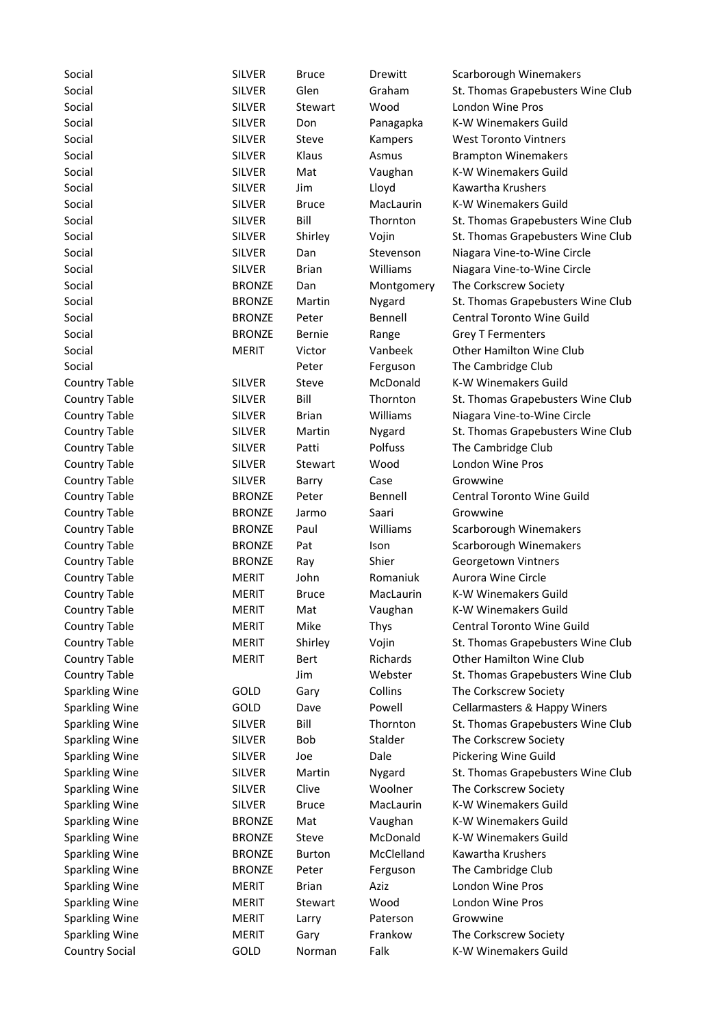| Social                | <b>SILVER</b>                  | <b>Bruce</b>  | Drewitt           | Scarborough Winemakers                        |
|-----------------------|--------------------------------|---------------|-------------------|-----------------------------------------------|
| Social                | <b>SILVER</b>                  | Glen          | Graham            | St. Thomas Grapebusters Wine Club             |
| Social                | <b>SILVER</b>                  | Stewart       | Wood              | London Wine Pros                              |
| Social                | <b>SILVER</b>                  | Don           | Panagapka         | K-W Winemakers Guild                          |
| Social                | <b>SILVER</b>                  | Steve         | Kampers           | <b>West Toronto Vintners</b>                  |
| Social                | <b>SILVER</b>                  | Klaus         | Asmus             | <b>Brampton Winemakers</b>                    |
| Social                | <b>SILVER</b>                  | Mat           | Vaughan           | K-W Winemakers Guild                          |
| Social                | <b>SILVER</b>                  | Jim           | Lloyd             | Kawartha Krushers                             |
| Social                | <b>SILVER</b>                  | <b>Bruce</b>  | MacLaurin         | K-W Winemakers Guild                          |
| Social                | <b>SILVER</b>                  | Bill          | Thornton          | St. Thomas Grapebusters Wine Club             |
| Social                | <b>SILVER</b>                  | Shirley       | Vojin             | St. Thomas Grapebusters Wine Club             |
| Social                | <b>SILVER</b>                  | Dan           | Stevenson         | Niagara Vine-to-Wine Circle                   |
| Social                | <b>SILVER</b>                  | <b>Brian</b>  | Williams          | Niagara Vine-to-Wine Circle                   |
| Social                | <b>BRONZE</b>                  | Dan           | Montgomery        | The Corkscrew Society                         |
| Social                | <b>BRONZE</b>                  | Martin        | Nygard            | St. Thomas Grapebusters Wine Club             |
| Social                | <b>BRONZE</b>                  | Peter         | Bennell           | <b>Central Toronto Wine Guild</b>             |
| Social                | <b>BRONZE</b>                  | Bernie        | Range             | <b>Grey T Fermenters</b>                      |
| Social                | <b>MERIT</b>                   | Victor        | Vanbeek           | Other Hamilton Wine Club                      |
| Social                |                                | Peter         | Ferguson          | The Cambridge Club                            |
| <b>Country Table</b>  | <b>SILVER</b>                  | Steve         | McDonald          | K-W Winemakers Guild                          |
| <b>Country Table</b>  | <b>SILVER</b>                  | Bill          | Thornton          | St. Thomas Grapebusters Wine Club             |
| <b>Country Table</b>  | <b>SILVER</b>                  | <b>Brian</b>  | Williams          | Niagara Vine-to-Wine Circle                   |
| <b>Country Table</b>  | <b>SILVER</b>                  | Martin        | Nygard            | St. Thomas Grapebusters Wine Club             |
| <b>Country Table</b>  | <b>SILVER</b>                  | Patti         | Polfuss           | The Cambridge Club                            |
| <b>Country Table</b>  | <b>SILVER</b>                  | Stewart       | Wood              | London Wine Pros                              |
| <b>Country Table</b>  | <b>SILVER</b>                  | Barry         | Case              | Growwine                                      |
| <b>Country Table</b>  | <b>BRONZE</b>                  | Peter         | Bennell           | Central Toronto Wine Guild                    |
| <b>Country Table</b>  | <b>BRONZE</b>                  | Jarmo         | Saari             | Growwine                                      |
| <b>Country Table</b>  | <b>BRONZE</b>                  | Paul          | Williams          | Scarborough Winemakers                        |
| <b>Country Table</b>  | <b>BRONZE</b>                  | Pat           | Ison              | Scarborough Winemakers                        |
| <b>Country Table</b>  | <b>BRONZE</b>                  | Ray           | Shier             | Georgetown Vintners                           |
| <b>Country Table</b>  | <b>MERIT</b>                   | John          | Romaniuk          | Aurora Wine Circle                            |
| <b>Country Table</b>  | <b>MERIT</b>                   | <b>Bruce</b>  | MacLaurin         | K-W Winemakers Guild                          |
| <b>Country Table</b>  | <b>MERIT</b>                   | Mat           | Vaughan           | K-W Winemakers Guild                          |
| <b>Country Table</b>  | MERIT                          | Mike          | Thys              | Central Toronto Wine Guild                    |
| <b>Country Table</b>  | <b>MERIT</b>                   | Shirley       | Vojin             | St. Thomas Grapebusters Wine Club             |
| <b>Country Table</b>  | <b>MERIT</b>                   | <b>Bert</b>   | Richards          | Other Hamilton Wine Club                      |
| <b>Country Table</b>  |                                | Jim           | Webster           | St. Thomas Grapebusters Wine Club             |
| <b>Sparkling Wine</b> | GOLD                           | Gary          | Collins           | The Corkscrew Society                         |
| <b>Sparkling Wine</b> | GOLD                           | Dave          | Powell            | Cellarmasters & Happy Winers                  |
| <b>Sparkling Wine</b> | <b>SILVER</b>                  | Bill          | Thornton          | St. Thomas Grapebusters Wine Club             |
| <b>Sparkling Wine</b> | <b>SILVER</b>                  | <b>Bob</b>    | Stalder           | The Corkscrew Society                         |
| <b>Sparkling Wine</b> | <b>SILVER</b>                  | Joe           | Dale              | Pickering Wine Guild                          |
|                       |                                | Martin        |                   | St. Thomas Grapebusters Wine Club             |
| <b>Sparkling Wine</b> | <b>SILVER</b><br><b>SILVER</b> | Clive         | Nygard<br>Woolner |                                               |
| <b>Sparkling Wine</b> |                                |               | MacLaurin         | The Corkscrew Society<br>K-W Winemakers Guild |
| <b>Sparkling Wine</b> | <b>SILVER</b>                  | <b>Bruce</b>  |                   |                                               |
| <b>Sparkling Wine</b> | <b>BRONZE</b>                  | Mat           | Vaughan           | K-W Winemakers Guild                          |
| <b>Sparkling Wine</b> | <b>BRONZE</b>                  | Steve         | McDonald          | K-W Winemakers Guild                          |
| <b>Sparkling Wine</b> | <b>BRONZE</b>                  | <b>Burton</b> | McClelland        | Kawartha Krushers                             |
| <b>Sparkling Wine</b> | <b>BRONZE</b>                  | Peter         | Ferguson          | The Cambridge Club                            |
| <b>Sparkling Wine</b> | <b>MERIT</b>                   | <b>Brian</b>  | Aziz              | London Wine Pros                              |
| <b>Sparkling Wine</b> | <b>MERIT</b>                   | Stewart       | Wood              | London Wine Pros                              |
| <b>Sparkling Wine</b> | <b>MERIT</b>                   | Larry         | Paterson          | Growwine                                      |
| <b>Sparkling Wine</b> | <b>MERIT</b>                   | Gary          | Frankow           | The Corkscrew Society                         |
| <b>Country Social</b> | GOLD                           | Norman        | Falk              | K-W Winemakers Guild                          |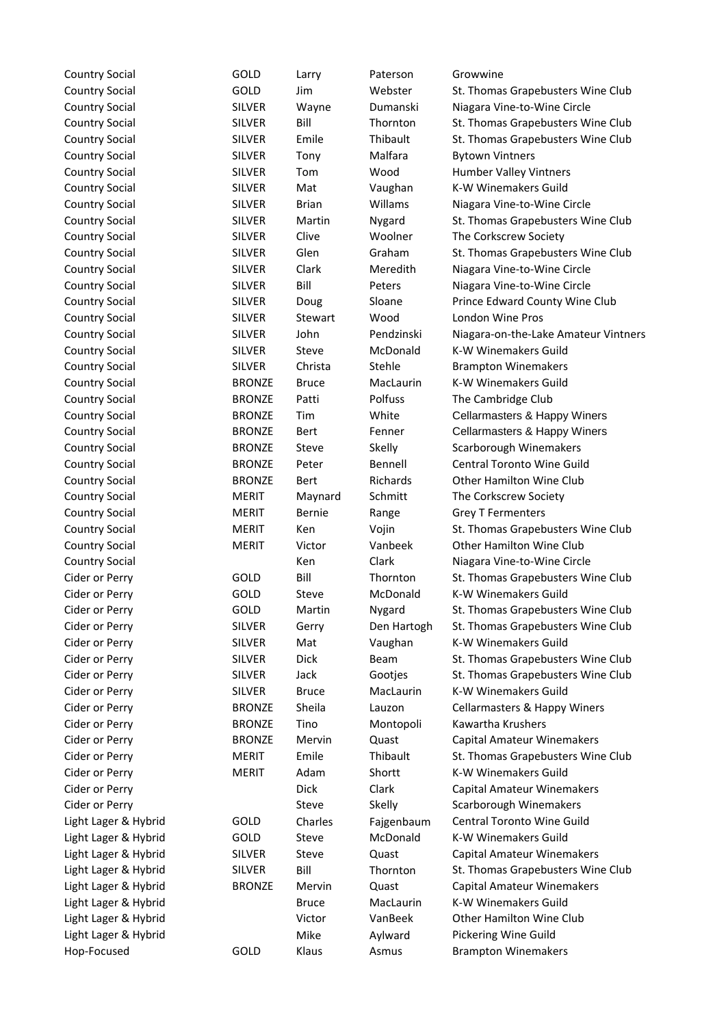| <b>Country Social</b> | GOLD          | Larry        | Paterson          | Growwine                                             |
|-----------------------|---------------|--------------|-------------------|------------------------------------------------------|
| <b>Country Social</b> | GOLD          | Jim          | Webster           | St. Thomas Grapebusters Wine Club                    |
| <b>Country Social</b> | <b>SILVER</b> | Wayne        | Dumanski          | Niagara Vine-to-Wine Circle                          |
| <b>Country Social</b> | <b>SILVER</b> | Bill         | Thornton          | St. Thomas Grapebusters Wine Club                    |
| <b>Country Social</b> | <b>SILVER</b> | Emile        | Thibault          | St. Thomas Grapebusters Wine Club                    |
| <b>Country Social</b> | <b>SILVER</b> | Tony         | Malfara           | <b>Bytown Vintners</b>                               |
| <b>Country Social</b> | <b>SILVER</b> | Tom          | Wood              | Humber Valley Vintners                               |
| <b>Country Social</b> | <b>SILVER</b> | Mat          | Vaughan           | K-W Winemakers Guild                                 |
| <b>Country Social</b> | <b>SILVER</b> | <b>Brian</b> | Willams           | Niagara Vine-to-Wine Circle                          |
| <b>Country Social</b> | <b>SILVER</b> | Martin       | Nygard            | St. Thomas Grapebusters Wine Club                    |
| <b>Country Social</b> | <b>SILVER</b> | Clive        | Woolner           | The Corkscrew Society                                |
| <b>Country Social</b> | <b>SILVER</b> | Glen         | Graham            | St. Thomas Grapebusters Wine Club                    |
| <b>Country Social</b> | <b>SILVER</b> | Clark        | Meredith          | Niagara Vine-to-Wine Circle                          |
| <b>Country Social</b> | <b>SILVER</b> | Bill         | Peters            | Niagara Vine-to-Wine Circle                          |
| <b>Country Social</b> | <b>SILVER</b> | Doug         | Sloane            | Prince Edward County Wine Club                       |
| <b>Country Social</b> | <b>SILVER</b> | Stewart      | Wood              | London Wine Pros                                     |
| <b>Country Social</b> | <b>SILVER</b> | John         | Pendzinski        | Niagara-on-the-Lake Amateur Vintners                 |
| <b>Country Social</b> | <b>SILVER</b> | Steve        | McDonald          | <b>K-W Winemakers Guild</b>                          |
| <b>Country Social</b> | <b>SILVER</b> | Christa      | Stehle            | <b>Brampton Winemakers</b>                           |
| <b>Country Social</b> | <b>BRONZE</b> | <b>Bruce</b> | MacLaurin         | K-W Winemakers Guild                                 |
| <b>Country Social</b> | <b>BRONZE</b> | Patti        | Polfuss           | The Cambridge Club                                   |
| <b>Country Social</b> | <b>BRONZE</b> | Tim          | White             | Cellarmasters & Happy Winers                         |
| <b>Country Social</b> | <b>BRONZE</b> | <b>Bert</b>  | Fenner            | Cellarmasters & Happy Winers                         |
|                       |               |              |                   |                                                      |
| <b>Country Social</b> | <b>BRONZE</b> | Steve        | Skelly<br>Bennell | Scarborough Winemakers<br>Central Toronto Wine Guild |
| <b>Country Social</b> | <b>BRONZE</b> | Peter        |                   |                                                      |
| <b>Country Social</b> | <b>BRONZE</b> | Bert         | Richards          | Other Hamilton Wine Club                             |
| <b>Country Social</b> | <b>MERIT</b>  | Maynard      | Schmitt           | The Corkscrew Society                                |
| <b>Country Social</b> | <b>MERIT</b>  | Bernie       | Range             | <b>Grey T Fermenters</b>                             |
| <b>Country Social</b> | <b>MERIT</b>  | Ken          | Vojin             | St. Thomas Grapebusters Wine Club                    |
| <b>Country Social</b> | <b>MERIT</b>  | Victor       | Vanbeek           | <b>Other Hamilton Wine Club</b>                      |
| <b>Country Social</b> |               | Ken          | Clark             | Niagara Vine-to-Wine Circle                          |
| Cider or Perry        | GOLD          | Bill         | Thornton          | St. Thomas Grapebusters Wine Club                    |
| Cider or Perry        | GOLD          | Steve        | McDonald          | K-W Winemakers Guild                                 |
| Cider or Perry        | GOLD          | Martin       | Nygard            | St. Thomas Grapebusters Wine Club                    |
| Cider or Perry        | <b>SILVER</b> | Gerry        | Den Hartogh       | St. Thomas Grapebusters Wine Club                    |
| Cider or Perry        | <b>SILVER</b> | Mat          | Vaughan           | K-W Winemakers Guild                                 |
| Cider or Perry        | <b>SILVER</b> | Dick         | Beam              | St. Thomas Grapebusters Wine Club                    |
| Cider or Perry        | <b>SILVER</b> | Jack         | Gootjes           | St. Thomas Grapebusters Wine Club                    |
| Cider or Perry        | <b>SILVER</b> | <b>Bruce</b> | MacLaurin         | K-W Winemakers Guild                                 |
| Cider or Perry        | <b>BRONZE</b> | Sheila       | Lauzon            | Cellarmasters & Happy Winers                         |
| Cider or Perry        | <b>BRONZE</b> | Tino         | Montopoli         | Kawartha Krushers                                    |
| Cider or Perry        | <b>BRONZE</b> | Mervin       | Quast             | <b>Capital Amateur Winemakers</b>                    |
| Cider or Perry        | <b>MERIT</b>  | Emile        | Thibault          | St. Thomas Grapebusters Wine Club                    |
| Cider or Perry        | <b>MERIT</b>  | Adam         | Shortt            | K-W Winemakers Guild                                 |
| Cider or Perry        |               | <b>Dick</b>  | Clark             | <b>Capital Amateur Winemakers</b>                    |
| Cider or Perry        |               | Steve        | Skelly            | Scarborough Winemakers                               |
| Light Lager & Hybrid  | GOLD          | Charles      | Fajgenbaum        | Central Toronto Wine Guild                           |
| Light Lager & Hybrid  | GOLD          | Steve        | McDonald          | K-W Winemakers Guild                                 |
| Light Lager & Hybrid  | <b>SILVER</b> | Steve        | Quast             | <b>Capital Amateur Winemakers</b>                    |
| Light Lager & Hybrid  | <b>SILVER</b> | Bill         | Thornton          | St. Thomas Grapebusters Wine Club                    |
| Light Lager & Hybrid  | <b>BRONZE</b> | Mervin       | Quast             | <b>Capital Amateur Winemakers</b>                    |
| Light Lager & Hybrid  |               | <b>Bruce</b> | MacLaurin         | K-W Winemakers Guild                                 |
| Light Lager & Hybrid  |               | Victor       | VanBeek           | <b>Other Hamilton Wine Club</b>                      |
| Light Lager & Hybrid  |               | Mike         | Aylward           | Pickering Wine Guild                                 |
| Hop-Focused           | GOLD          | Klaus        | Asmus             | <b>Brampton Winemakers</b>                           |